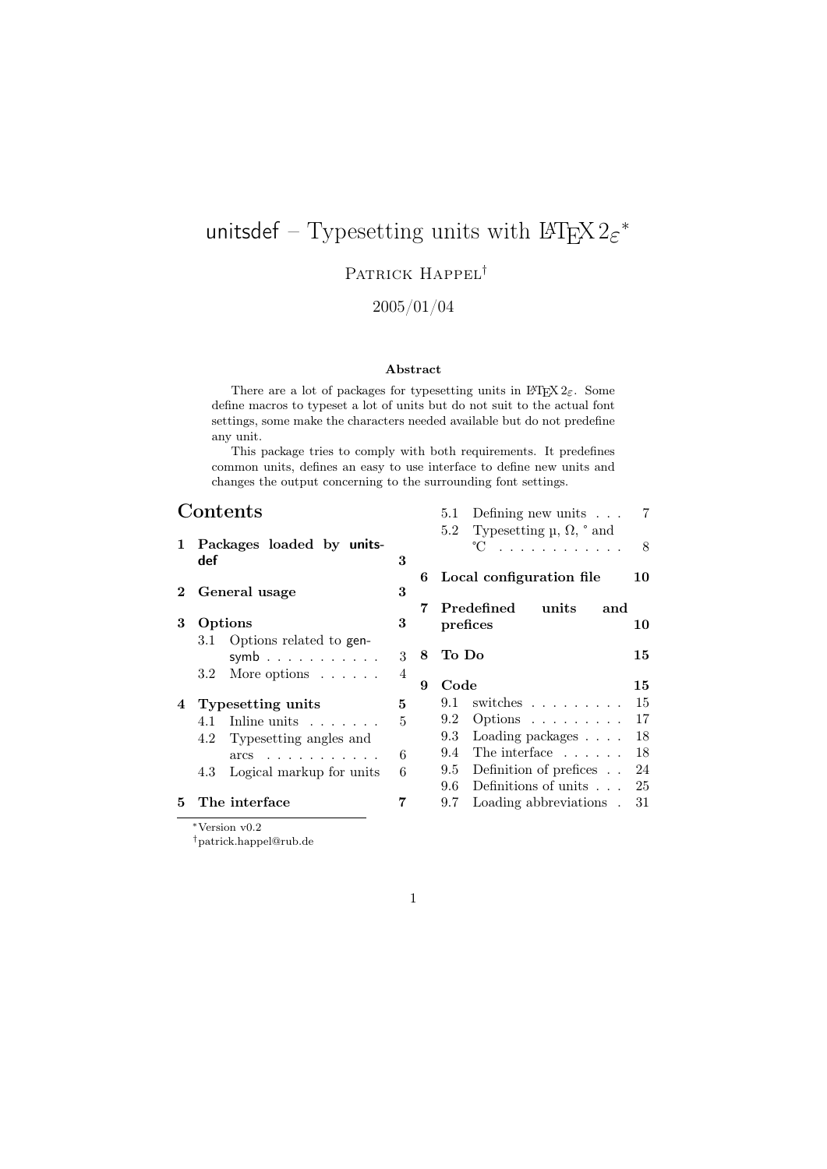# unitsdef – Typesetting units with  $\mathop{\rm LFLX}\nolimits2\varepsilon^*$

## PATRICK HAPPEL<sup>†</sup>

## 2005/01/04

#### Abstract

There are a lot of packages for typesetting units in  $\text{LATEX } 2\varepsilon$ . Some define macros to typeset a lot of units but do not suit to the actual font settings, some make the characters needed available but do not predefine any unit.

This package tries to comply with both requirements. It predefines common units, defines an easy to use interface to define new units and changes the output concerning to the surrounding font settings.

5.1 Defining new units . . . 7

## Contents

| $1\,$        | Packages loaded by units-<br>def |                |   | Typesetting $\mu$ , $\Omega$ , $\degree$ and<br>5.2<br>$^{\circ}C$ |     |
|--------------|----------------------------------|----------------|---|--------------------------------------------------------------------|-----|
| $\mathbf{2}$ |                                  |                |   | 6 Local configuration file                                         | 10  |
|              | General usage                    | 3              |   | $\bf Predefined$<br>units<br>and                                   |     |
| 3            | Options                          | 3              |   | prefices                                                           | 10  |
|              | Options related to gen-<br>3.1   |                |   |                                                                    |     |
|              | symb                             | 3              | 8 | To Do                                                              | 15  |
|              | More options $\ldots$ .<br>3.2   | $\overline{4}$ |   |                                                                    |     |
|              |                                  |                | 9 | Code                                                               | 15  |
| 4            | Typesetting units                | 5              |   | switches<br>9.1                                                    | 15  |
|              | 4.1 Inline units $\ldots$        | 5              |   | $9.2^{\circ}$<br>Options $\ldots \ldots \ldots$                    | 17  |
|              | Typesetting angles and<br>4.2    |                |   | Loading packages<br>9.3                                            | 18  |
|              | $\arcs$                          | 6              |   | 9.4 The interface $\dots$ .                                        | -18 |
|              | Logical markup for units<br>4.3  | 6              |   | Definition of prefices<br>9.5                                      | 24  |
|              |                                  |                |   | Definitions of units<br>9.6                                        | 25  |
| 5.           | The interface                    | 7              |   | Loading abbreviations.<br>9.7                                      | 31  |
|              |                                  |                |   |                                                                    |     |

<sup>∗</sup>Version v0.2

†patrick.happel@rub.de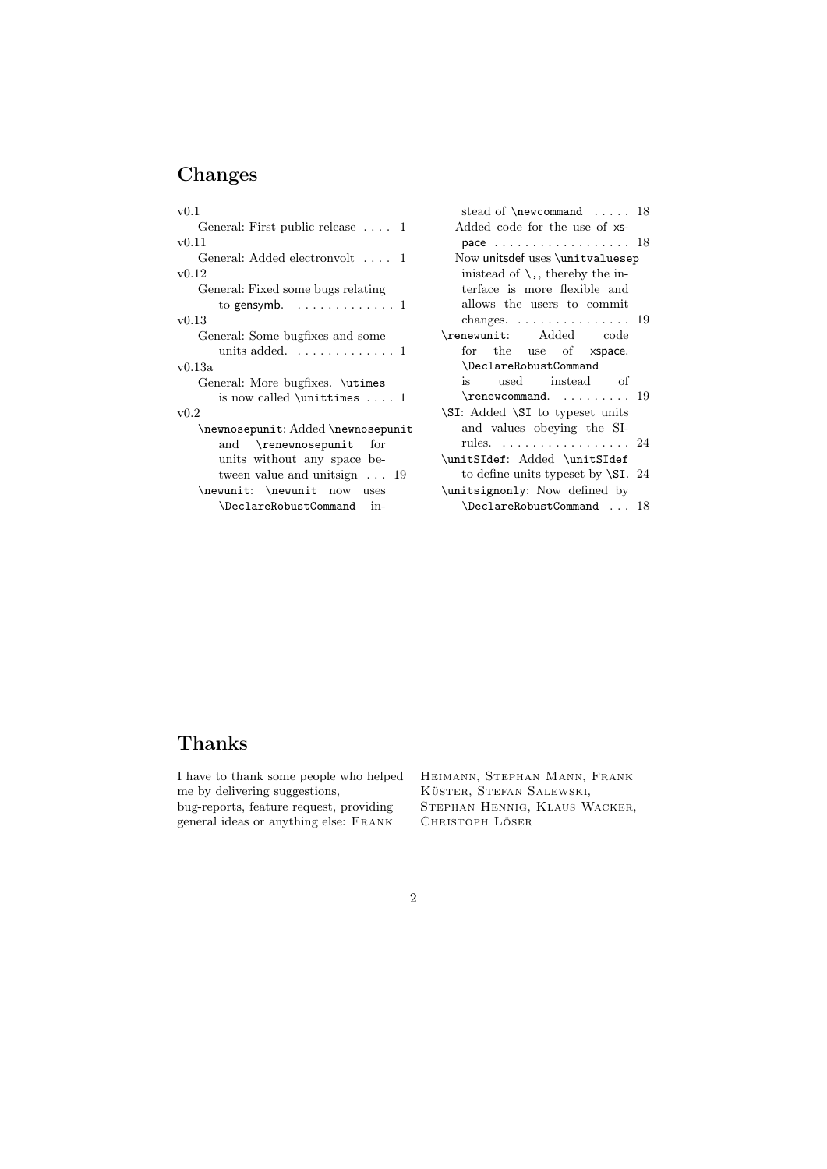## Changes

| v(0,1)                                                                                                                                                                                                                   |
|--------------------------------------------------------------------------------------------------------------------------------------------------------------------------------------------------------------------------|
| General: First public release $\dots$ 1                                                                                                                                                                                  |
| v(0.11)                                                                                                                                                                                                                  |
| General: Added electronvolt  1                                                                                                                                                                                           |
| v(0.12)                                                                                                                                                                                                                  |
| General: Fixed some bugs relating                                                                                                                                                                                        |
| to gensymb. $\dots \dots \dots \dots \dots$                                                                                                                                                                              |
| v0.13                                                                                                                                                                                                                    |
| General: Some bugfixes and some                                                                                                                                                                                          |
| units added. $\dots\dots\dots\dots1$                                                                                                                                                                                     |
| v0.13a                                                                                                                                                                                                                   |
| General: More bugfixes. \utimes                                                                                                                                                                                          |
| is now called $\unit$ imes  1                                                                                                                                                                                            |
| v0.2                                                                                                                                                                                                                     |
| $\newnewbegin{array}{ c c }\nnewnosepunit: Added \newnewbegin{array}{ c c }\nconj\end{array} 1\nonumber \end{array}$<br>and \renewnosepunit<br>for<br>units without any space be-<br>tween value and unitsign $\dots$ 19 |
| \newunit: \newunit now uses                                                                                                                                                                                              |
| \DeclareRobustCommand in-                                                                                                                                                                                                |

| stead of $\newcommand \dots 18$                                           |
|---------------------------------------------------------------------------|
| Added code for the use of xs-                                             |
| pace $18$                                                                 |
| Now unitsdef uses \unitvaluesep                                           |
| inistead of $\setminus$ , thereby the in-                                 |
| terface is more flexible and                                              |
| allows the users to commit                                                |
| changes. $\ldots \ldots \ldots \ldots$<br>19                              |
| \renewunit: Added code                                                    |
| for the use of xspace.                                                    |
| \DeclareRobustCommand                                                     |
| is used instead of                                                        |
|                                                                           |
| \SI: Added \SI to typeset units                                           |
| and values obeying the SI-                                                |
| rules. 24                                                                 |
| \unitSIdef: Added \unitSIdef                                              |
|                                                                           |
|                                                                           |
| \DeclareRobustCommand  18                                                 |
| to define units typeset by $\Sigma$ . 24<br>\unitsignonly: Now defined by |

## Thanks

I have to thank some people who helped me by delivering suggestions, bug-reports, feature request, providing general ideas or anything else: Frank

Heimann, Stephan Mann, Frank Küster, Stefan Salewski, Stephan Hennig, Klaus Wacker, Christoph Löser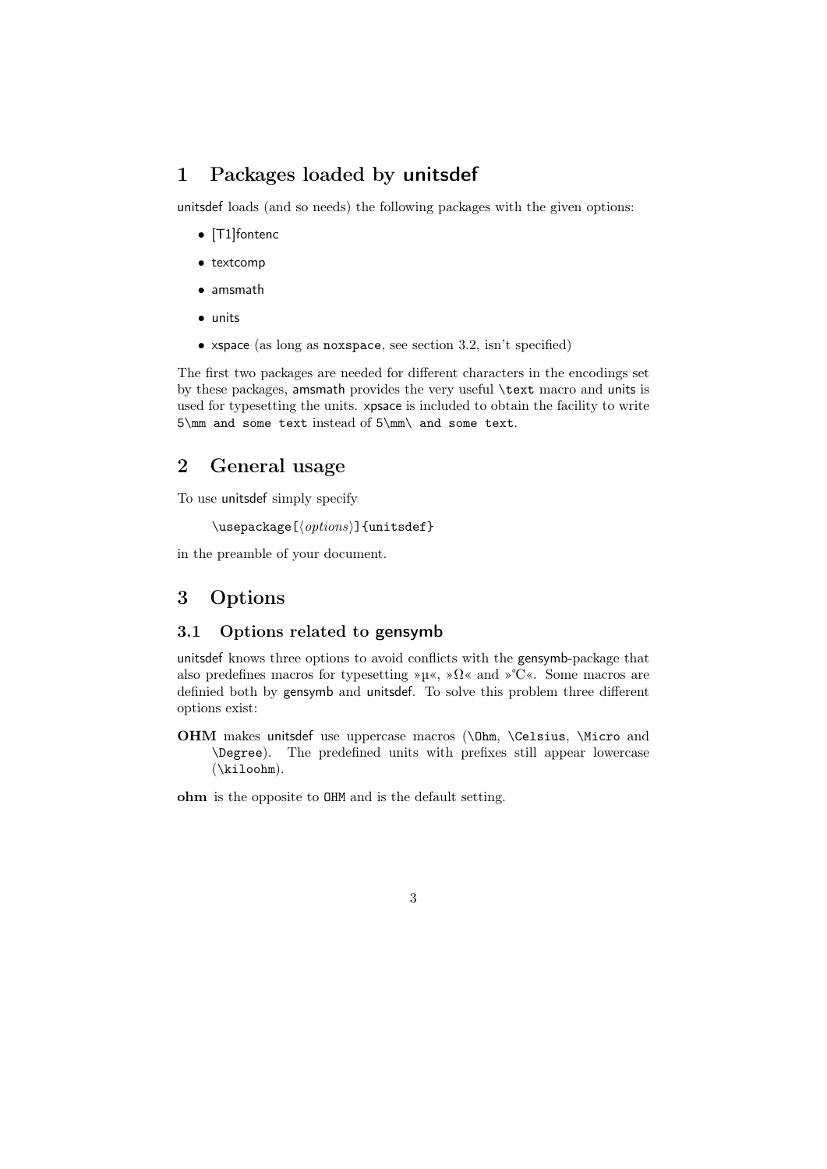## 1 Packages loaded by unitsdef

unitsdef loads (and so needs) the following packages with the given options:

- [T1]fontenc
- textcomp
- amsmath
- units
- xspace (as long as noxspace, see section 3.2, isn't specified)

The first two packages are needed for different characters in the encodings set by these packages, amsmath provides the very useful \text macro and units is used for typesetting the units. xpsace is included to obtain the facility to write 5\mm and some text instead of 5\mm\ and some text.

## 2 General usage

To use unitsdef simply specify

```
\text{usepackage}[\langle options\rangle]{\text{unitsdef}}
```
in the preamble of your document.

## 3 Options

### 3.1 Options related to gensymb

unitsdef knows three options to avoid conflicts with the gensymb-package that also predefines macros for typesetting »µ«, »Ω« and »℃«. Some macros are definied both by gensymb and unitsdef. To solve this problem three different options exist:

OHM makes unitsdef use uppercase macros (\Ohm, \Celsius, \Micro and \Degree). The predefined units with prefixes still appear lowercase (\kiloohm).

ohm is the opposite to OHM and is the default setting.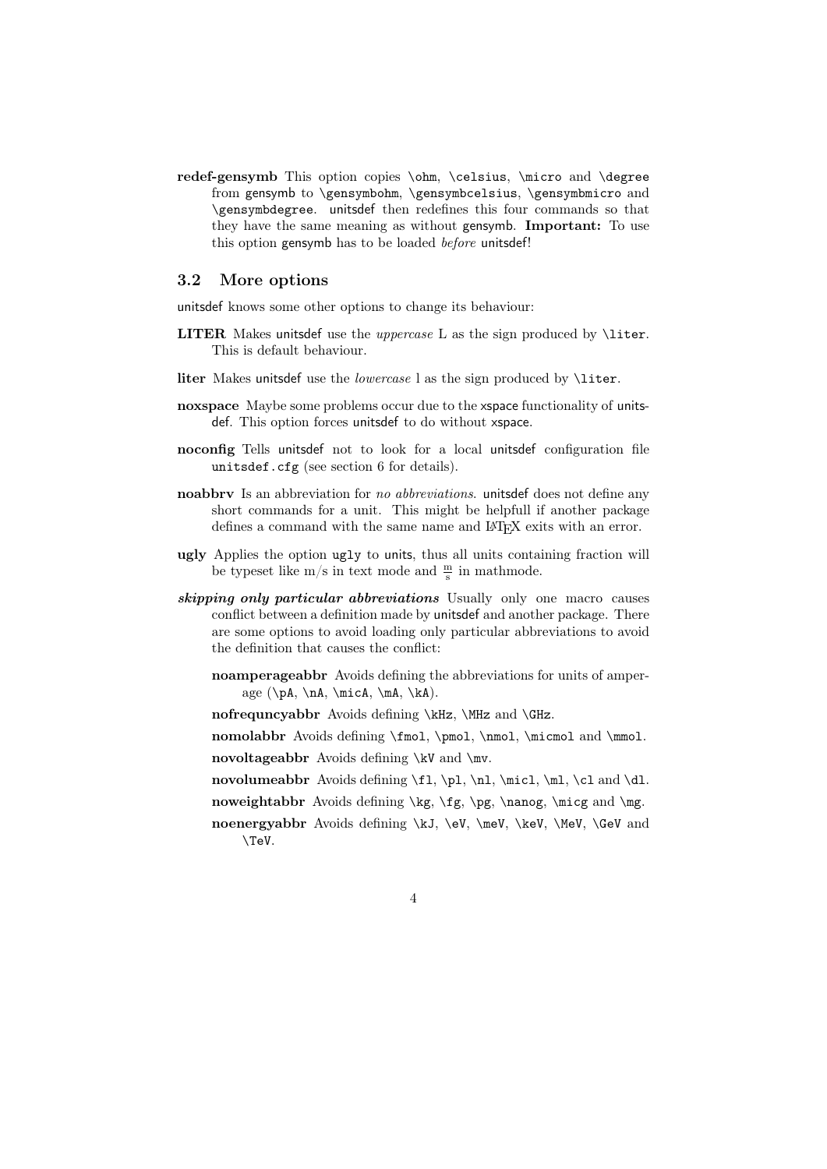redef-gensymb This option copies \ohm, \celsius, \micro and \degree from gensymb to \gensymbohm, \gensymbcelsius, \gensymbmicro and \gensymbdegree. unitsdef then redefines this four commands so that they have the same meaning as without gensymb. Important: To use this option gensymb has to be loaded before unitsdef!

### 3.2 More options

unitsdef knows some other options to change its behaviour:

- LITER Makes unitsdef use the *uppercase* L as the sign produced by *\liter*. This is default behaviour.
- liter Makes unitsdef use the *lowercase* l as the sign produced by *\liter*.
- noxspace Maybe some problems occur due to the xspace functionality of unitsdef. This option forces unitsdef to do without xspace.
- noconfig Tells unitsdef not to look for a local unitsdef configuration file unitsdef.cfg (see section 6 for details).
- noabbrv Is an abbreviation for no abbreviations. unitsdef does not define any short commands for a unit. This might be helpfull if another package defines a command with the same name and LAT<sub>E</sub>X exits with an error.
- ugly Applies the option ugly to units, thus all units containing fraction will be typeset like m/s in text mode and  $\frac{m}{s}$  in mathmode.
- skipping only particular abbreviations Usually only one macro causes conflict between a definition made by unitsdef and another package. There are some options to avoid loading only particular abbreviations to avoid the definition that causes the conflict:
	- noamperageabbr Avoids defining the abbreviations for units of amperage  $(\pa, \n, \micA, \ma, \ka).$
	- nofrequncyabbr Avoids defining \kHz, \MHz and \GHz.
	- nomolabbr Avoids defining \fmol, \pmol, \nmol, \micmol and \mmol.
	- novoltageabbr Avoids defining \kV and \mv.
	- novolumeabbr Avoids defining \fl, \pl, \nl, \micl, \ml, \cl and \dl.
	- noweightabbr Avoids defining  $\kg$ ,  $\pg$ ,  $\naog$ ,  $\m{mg}$
	- noenergyabbr Avoids defining \kJ, \eV, \meV, \keV, \MeV, \GeV and \TeV.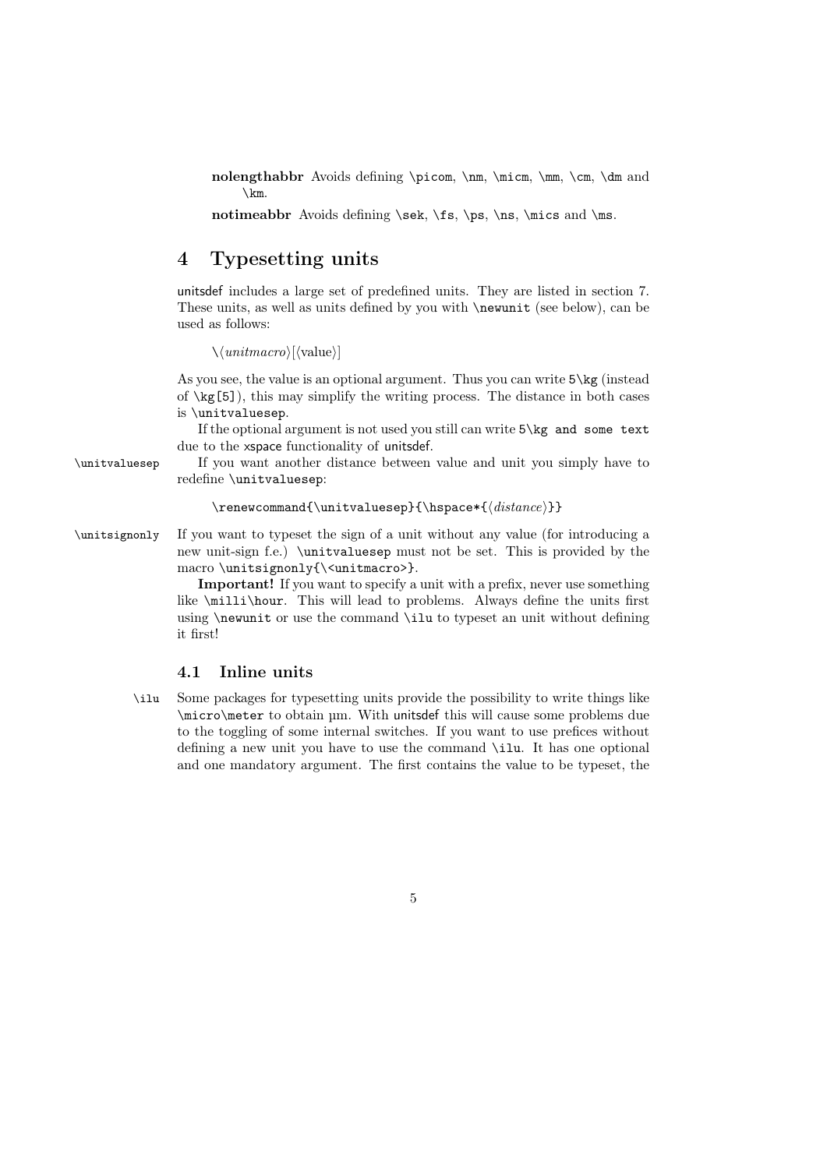nolengthabbr Avoids defining \picom, \nm, \micm, \mm, \cm, \dm and \km.

notimeabbr Avoids defining \sek, \fs, \ps, \ns, \mics and \ms.

## 4 Typesetting units

unitsdef includes a large set of predefined units. They are listed in section 7. These units, as well as units defined by you with \newunit (see below), can be used as follows:

 $\langle\langle unitmacro \rangle$ [ $\langle$ value $\rangle$ ]

As you see, the value is an optional argument. Thus you can write 5\kg (instead of  $\kappa_{s}[5]$ , this may simplify the writing process. The distance in both cases is \unitvaluesep.

If the optional argument is not used you still can write 5\kg and some text due to the xspace functionality of unitsdef.

\unitvaluesep If you want another distance between value and unit you simply have to redefine \unitvaluesep:

```
\verb|\renewcommand{\\unitvaluesep}{\hspace{-1.5mm}\hspace{-1.5mm}\hspace{-1.5mm}
```
\unitsignonly If you want to typeset the sign of a unit without any value (for introducing a new unit-sign f.e.) \unitvaluesep must not be set. This is provided by the macro \unitsignonly{\<unitmacro>}.

> Important! If you want to specify a unit with a prefix, never use something like \milli\hour. This will lead to problems. Always define the units first using \newunit or use the command \ilu to typeset an unit without defining it first!

#### 4.1 Inline units

\ilu Some packages for typesetting units provide the possibility to write things like \micro\meter to obtain µm. With unitsdef this will cause some problems due to the toggling of some internal switches. If you want to use prefices without defining a new unit you have to use the command \ilu. It has one optional and one mandatory argument. The first contains the value to be typeset, the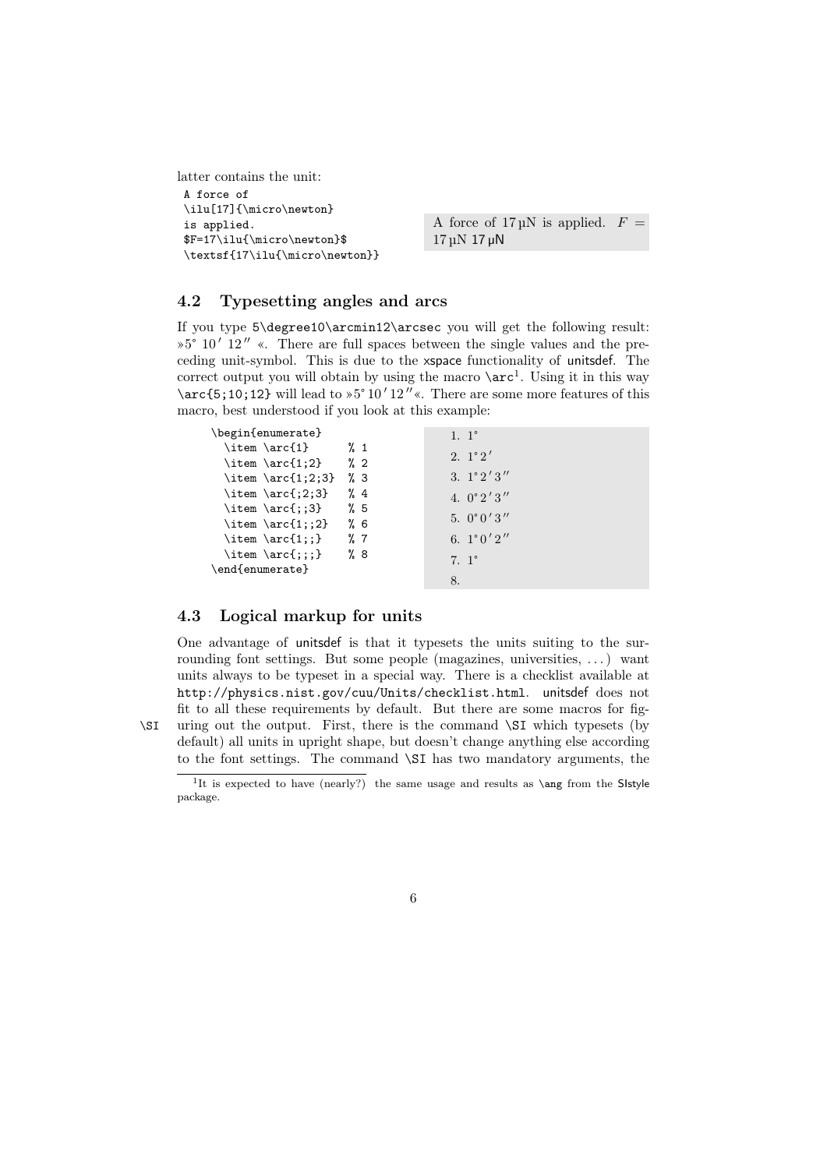latter contains the unit: A force of \ilu[17]{\micro\newton} is applied. \$F=17\ilu{\micro\newton}\$ \textsf{17\ilu{\micro\newton}}

A force of  $17 \mu N$  is applied.  $F =$ 17 µN 17 µN

### 4.2 Typesetting angles and arcs

If you type 5\degree10\arcmin12\arcsec you will get the following result:  $\frac{1}{2}$  0' 12" «. There are full spaces between the single values and the preceding unit-symbol. This is due to the xspace functionality of unitsdef. The correct output you will obtain by using the macro  $\arctan 1$ . Using it in this way \arc{5;10;12} will lead to  $5^{\circ}10'12''$ «. There are some more features of this macro, best understood if you look at this example:

| \begin{enumerate}     |                 | $1.1^\circ$         |
|-----------------------|-----------------|---------------------|
| \item \arc{1}         | $\frac{9}{2}$ 1 |                     |
| \item \arc{1;2}       | $\frac{9}{6}$ 2 | 2. $1^{\circ}2'$    |
| \item \arc{1;2;3}     | $\%$ 3          | 3. $1^{\circ}2'3''$ |
| \item \arc{ $;2;3$ }  | $\frac{9}{4}$   | 4. $0^{\circ}2'3''$ |
| $\item \arc{\;:\;3\}$ | %5              |                     |
| \item \arc{1;;2}      | %6              | 5. $0^{\circ}0'3''$ |
| $\iter \arc{1$ ; : }  | $\%$ 7          | 6. $1^{\circ}0'2''$ |
| \item \arc{;;;}       | %8              | $7.1^\circ$         |
| \end{enumerate}       |                 |                     |
|                       |                 | 8.                  |

### 4.3 Logical markup for units

One advantage of unitsdef is that it typesets the units suiting to the surrounding font settings. But some people (magazines, universities, . . . ) want units always to be typeset in a special way. There is a checklist available at http://physics.nist.gov/cuu/Units/checklist.html. unitsdef does not fit to all these requirements by default. But there are some macros for fig- \SI uring out the output. First, there is the command \SI which typesets (by default) all units in upright shape, but doesn't change anything else according to the font settings. The command \SI has two mandatory arguments, the



<sup>&</sup>lt;sup>1</sup>It is expected to have (nearly?) the same usage and results as \ang from the Sistyle package.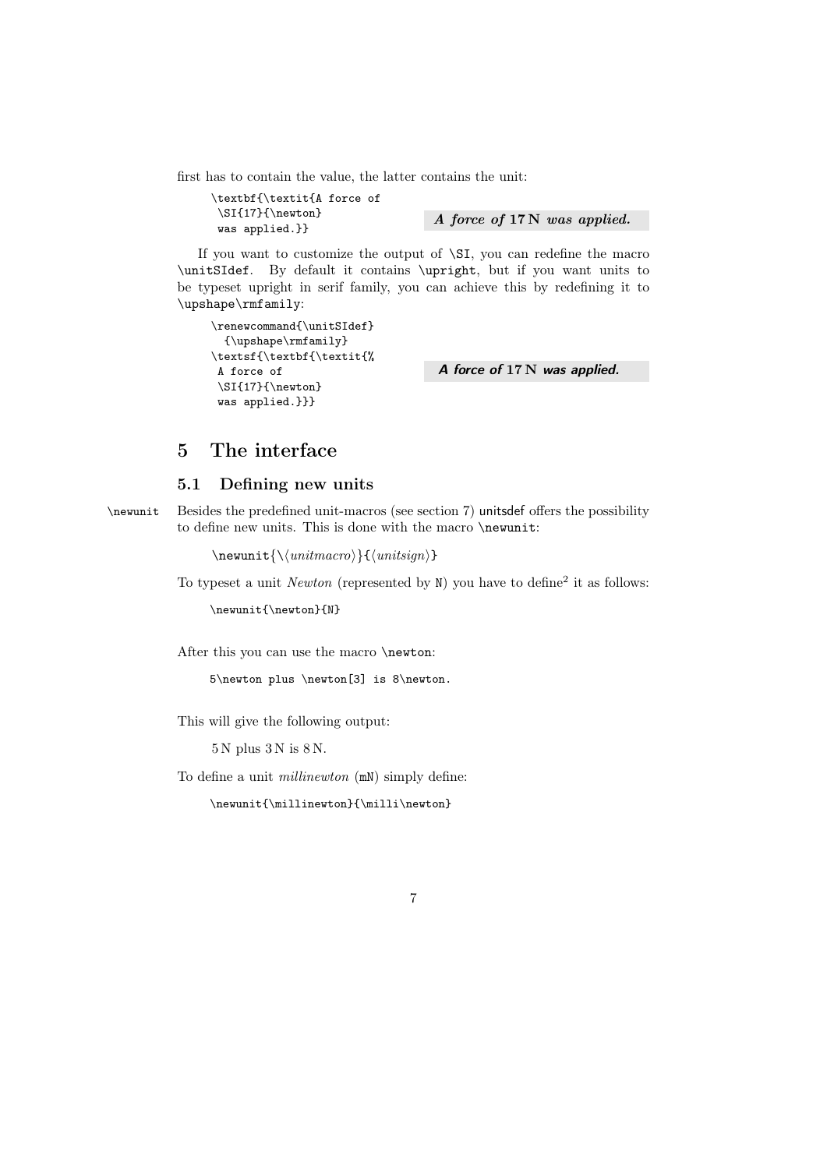first has to contain the value, the latter contains the unit:

```
\textbf{\textit{A force of
\SI{17}{\newton}
\text{N}\ was applied.} A force of 17 N was applied.
```
If you want to customize the output of  $\Sigma$ , you can redefine the macro \unitSIdef. By default it contains \upright, but if you want units to be typeset upright in serif family, you can achieve this by redefining it to \upshape\rmfamily:

```
\verb|\renewcommand{\\unitSIdef}|{\upshape\rmfamily}
\textsf{\textbf{\textit{%
A force of
 \SI{17}{\newton}
 was applied.}}}
```
A force of 17 N was applied.

## 5 The interface

### 5.1 Defining new units

\newunit Besides the predefined unit-macros (see section 7) unitsdef offers the possibility to define new units. This is done with the macro \newunit:

 $\new$ nit ${\langle unitmacro \rangle}{\langle unitsign \rangle}$ 

To typeset a unit *Newton* (represented by  $N$ ) you have to define<sup>2</sup> it as follows:

\newunit{\newton}{N}

After this you can use the macro \newton:

5\newton plus \newton[3] is 8\newton.

This will give the following output:

5 N plus 3 N is 8 N.

To define a unit *millinewton* (mN) simply define:

\newunit{\millinewton}{\milli\newton}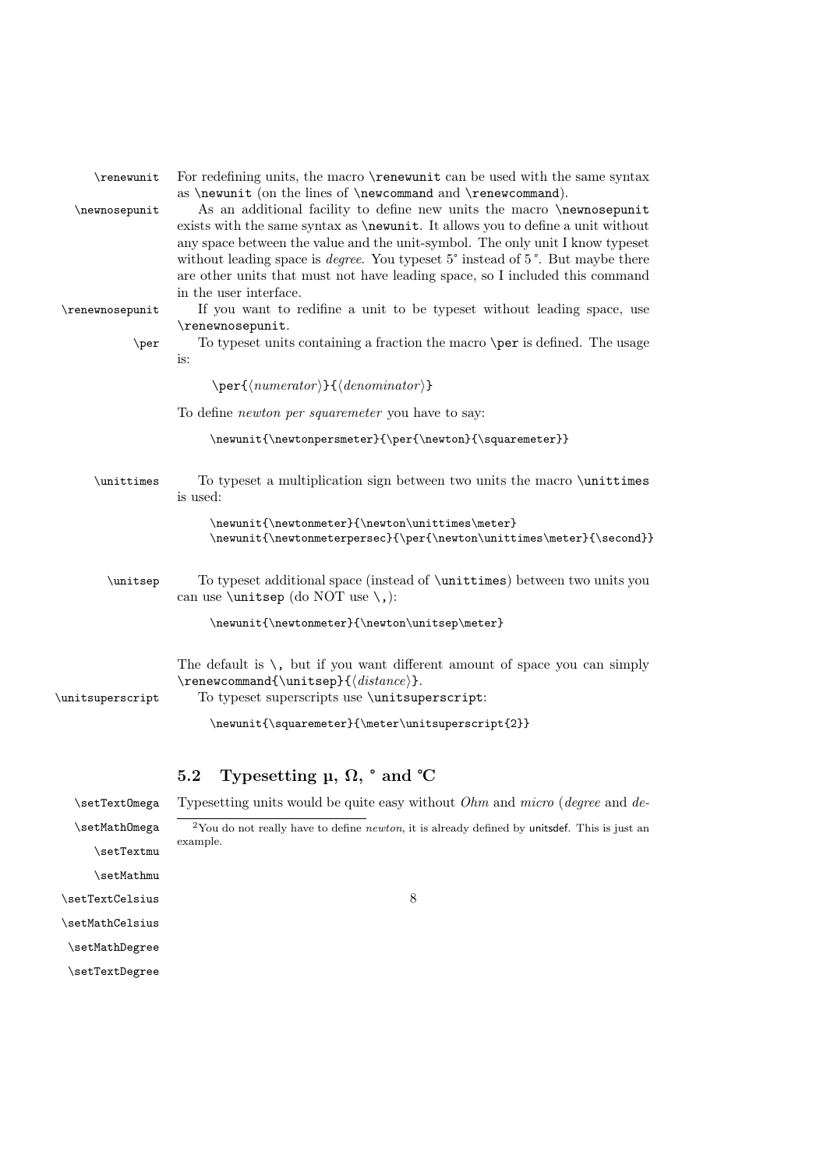| \renewunit<br>\newnosepunit | For redefining units, the macro \renewunit can be used with the same syntax<br>as \newunit (on the lines of \newcommand and \renewcommand).<br>As an additional facility to define new units the macro \newnosepunit<br>exists with the same syntax as \newunit. It allows you to define a unit without<br>any space between the value and the unit-symbol. The only unit I know typeset<br>without leading space is <i>degree</i> . You typeset 5° instead of 5°. But maybe there<br>are other units that must not have leading space, so I included this command<br>in the user interface. |
|-----------------------------|----------------------------------------------------------------------------------------------------------------------------------------------------------------------------------------------------------------------------------------------------------------------------------------------------------------------------------------------------------------------------------------------------------------------------------------------------------------------------------------------------------------------------------------------------------------------------------------------|
| \renewnosepunit<br>\per     | If you want to redifine a unit to be typeset without leading space, use<br>\renewnosepunit.<br>To typeset units containing a fraction the macro \per is defined. The usage<br>is:                                                                                                                                                                                                                                                                                                                                                                                                            |
|                             | $\perp\$ (numerator)}{(denominator)}                                                                                                                                                                                                                                                                                                                                                                                                                                                                                                                                                         |
|                             | To define <i>newton per squaremeter</i> you have to say:                                                                                                                                                                                                                                                                                                                                                                                                                                                                                                                                     |
|                             | \newunit{\newtonpersmeter}{\per{\newton}{\squaremeter}}                                                                                                                                                                                                                                                                                                                                                                                                                                                                                                                                      |
| \unittimes                  | To typeset a multiplication sign between two units the macro \unittimes<br>is used:                                                                                                                                                                                                                                                                                                                                                                                                                                                                                                          |
|                             | \newunit{\newtonmeter}{\newton\unittimes\meter}<br>\newunit{\newtonmeterpersec}{\per{\newton\unittimes\meter}{\second}}                                                                                                                                                                                                                                                                                                                                                                                                                                                                      |
| \unitsep                    | To typeset additional space (instead of \unittimes) between two units you<br>can use <b>\unitsep</b> (do NOT use <b>\,</b> ):                                                                                                                                                                                                                                                                                                                                                                                                                                                                |
|                             | \newunit{\newtonmeter}{\newton\unitsep\meter}                                                                                                                                                                                                                                                                                                                                                                                                                                                                                                                                                |
| \unitsuperscript            | The default is $\setminus$ , but if you want different amount of space you can simply<br>$\verb \renewcommand{\\unitsep}{\it distance}\}.$<br>To typeset superscripts use \unitsuperscript:                                                                                                                                                                                                                                                                                                                                                                                                  |
|                             | \newunit{\squaremeter}{\meter\unitsuperscript{2}}                                                                                                                                                                                                                                                                                                                                                                                                                                                                                                                                            |
|                             | Typesetting $\mu$ , $\Omega$ , $\circ$ and $\circ$ C<br>5.2                                                                                                                                                                                                                                                                                                                                                                                                                                                                                                                                  |
| \setText0mega               | Typesetting units would be quite easy without $Ohm$ and $micro$ (degree and de-                                                                                                                                                                                                                                                                                                                                                                                                                                                                                                              |
| \setMathOmega<br>\setTextmu | $2$ You do not really have to define <i>newton</i> , it is already defined by unitsdef. This is just an<br>example.                                                                                                                                                                                                                                                                                                                                                                                                                                                                          |
| \setMathmu                  |                                                                                                                                                                                                                                                                                                                                                                                                                                                                                                                                                                                              |

8

\setTextCelsius

\setMathCelsius

\setMathDegree

\setTextDegree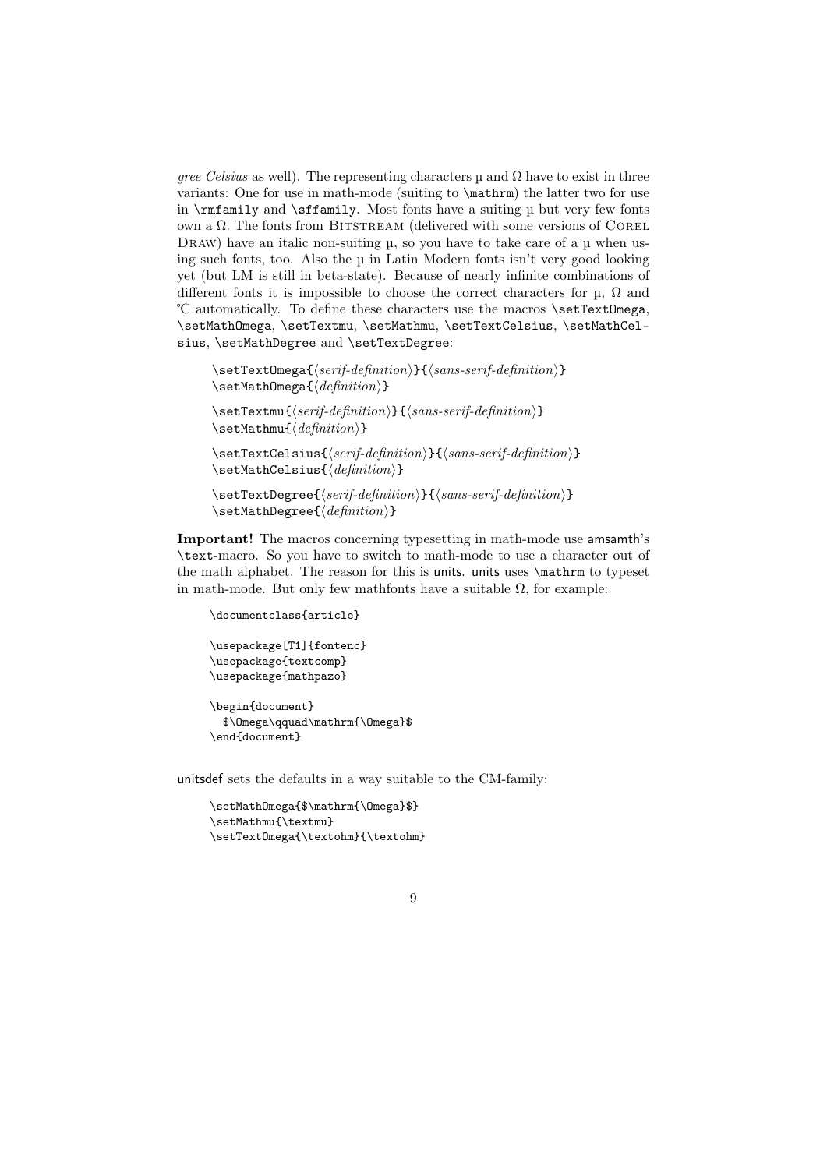gree Celsius as well). The representing characters  $\mu$  and  $\Omega$  have to exist in three variants: One for use in math-mode (suiting to \mathrm) the latter two for use in  $\rm{amily}$  and  $\rm{family}$ . Most fonts have a suiting  $\mu$  but very few fonts own a  $\Omega$ . The fonts from BITSTREAM (delivered with some versions of COREL DRAW) have an italic non-suiting  $\mu$ , so you have to take care of a  $\mu$  when using such fonts, too. Also the µ in Latin Modern fonts isn't very good looking yet (but LM is still in beta-state). Because of nearly infinite combinations of different fonts it is impossible to choose the correct characters for  $\mu$ ,  $\Omega$  and ℃ automatically. To define these characters use the macros \setTextOmega, \setMathOmega, \setTextmu, \setMathmu, \setTextCelsius, \setMathCelsius, \setMathDegree and \setTextDegree:

```
\setminussetTextOmega{\langle serif\text{-}definition \rangle}{\langle sans\text{-}definition \rangle}
\setminussetMathOmega{\langle definition \rangle}
```
 $\setminus$ setTextmu{ $\setminus$ serif-definition ${}$ }{ $\setminus$ sans-serif-definition}}  $\setminus$ setMathmu{ $\langle definition \rangle$ }

 $\setminus$ setTextCelsius{ $\langle script\ definition \rangle$ }{ $\langle sans\text{-}definition \rangle$ }  $\setminus$ setMathCelsius{ $\langle definition \rangle$ }

 $\setminus$ setTextDegree{ $\{serif\text{-}definition\}$ }{ $\{sans\text{-}serif\text{-}definition\}$ }  $\setminus$ setMathDegree{ $\langle definition \rangle$ }

Important! The macros concerning typesetting in math-mode use amsamth's \text-macro. So you have to switch to math-mode to use a character out of the math alphabet. The reason for this is units. units uses \mathrm to typeset in math-mode. But only few mathfonts have a suitable  $\Omega$ , for example:

\documentclass{article} \usepackage[T1]{fontenc} \usepackage{textcomp} \usepackage{mathpazo} \begin{document} \$\Omega\qquad\mathrm{\Omega}\$ \end{document}

unitsdef sets the defaults in a way suitable to the CM-family:

```
\setMathOmega{$\mathrm{\Omega}$}
\setMathmu{\textmu}
\setTextOmega{\textohm}{\textohm}
```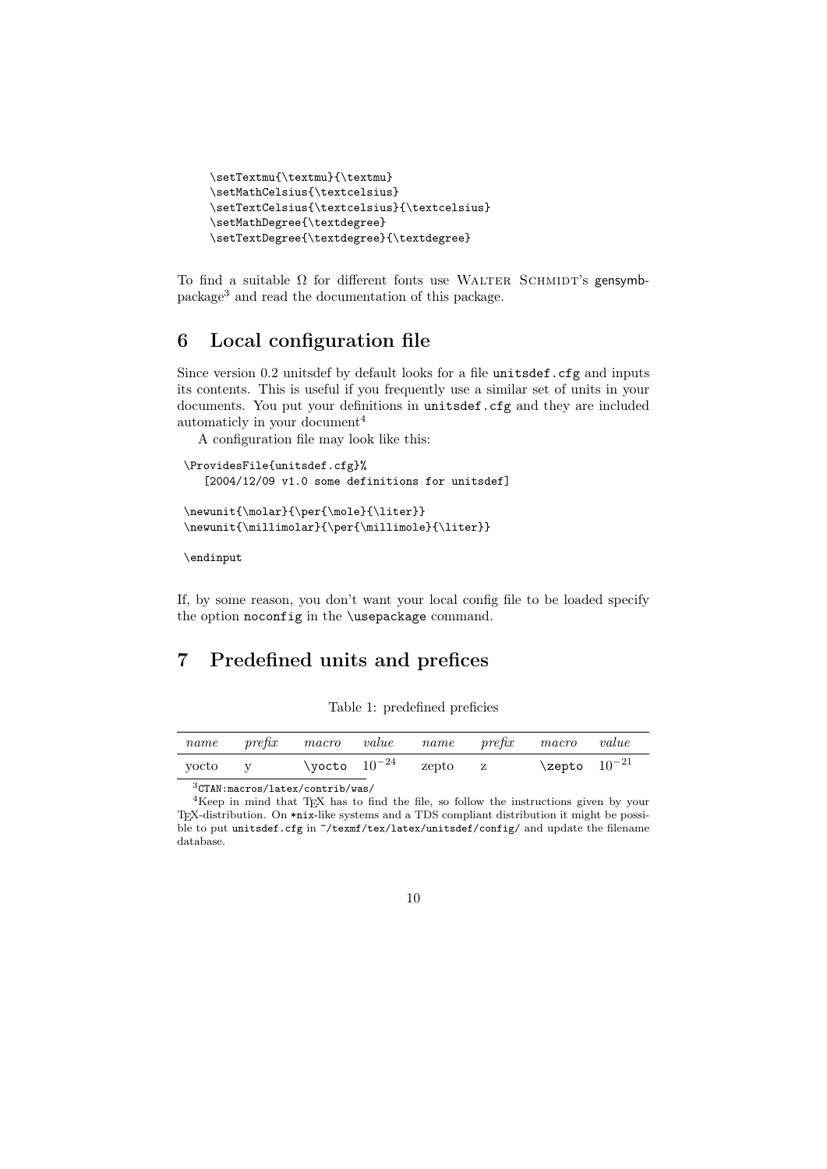```
\setTextmu{\textmu}{\textmu}
\setMathCelsius{\textcelsius}
\setTextCelsius{\textcelsius}{\textcelsius}
\setMathDegree{\textdegree}
\setTextDegree{\textdegree}{\textdegree}
```
To find a suitable  $\Omega$  for different fonts use WALTER SCHMIDT's gensymbpackage<sup>3</sup> and read the documentation of this package.

## 6 Local configuration file

Since version 0.2 unitsdef by default looks for a file unitsdef.cfg and inputs its contents. This is useful if you frequently use a similar set of units in your documents. You put your definitions in unitsdef.cfg and they are included automaticly in your document<sup>4</sup>

A configuration file may look like this:

```
\ProvidesFile{unitsdef.cfg}%
   [2004/12/09 v1.0 some definitions for unitsdef]
\newline\label{thm:main} $$\newunit{\min{\min{\frac{\pm{1}}{\per{\m{1}}}} \text{c}} \text{d} \text{d} \text{d} \text{e}}$$
```
\endinput

If, by some reason, you don't want your local config file to be loaded specify the option noconfig in the \usepackage command.

## 7 Predefined units and prefices

|  |  | Table 1: predefined preficies |  |
|--|--|-------------------------------|--|
|--|--|-------------------------------|--|

| \yocto $10^{-24}$<br>$\verb \zepto  10^{-21}$<br>zepto<br>vocto | name | prefix macro value name prefix macro |  |  | value |
|-----------------------------------------------------------------|------|--------------------------------------|--|--|-------|
|                                                                 |      |                                      |  |  |       |

<sup>3</sup>CTAN:macros/latex/contrib/was/

<sup>4</sup>Keep in mind that TEX has to find the file, so follow the instructions given by your TEX-distribution. On \*nix-like systems and a TDS compliant distribution it might be possible to put unitsdef.cfg in  $\gamma$ texmf/tex/latex/unitsdef/config/ and update the filename database.

<sup>10</sup>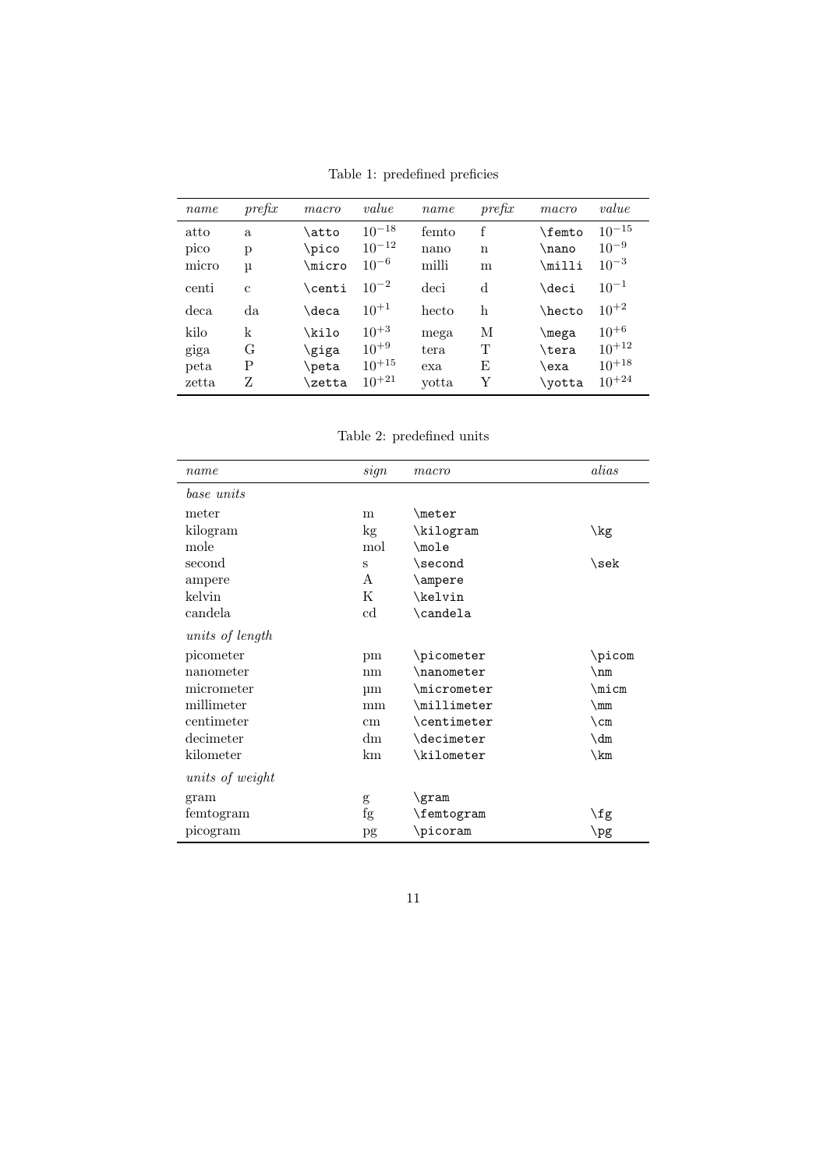Table 1: predefined preficies

| name  | prefix       | macro         | value      | name  | prefix | macro           | value      |
|-------|--------------|---------------|------------|-------|--------|-----------------|------------|
| atto  | a.           | \atto         | $10^{-18}$ | femto | f      | $\verb \femto $ | $10^{-15}$ |
| pico  | p            | \pico         | $10^{-12}$ | nano  | n      | \nano           | $10^{-9}$  |
| micro | μ            | \micro        | $10^{-6}$  | milli | m      | \milli          | $10^{-3}$  |
| centi | $\mathbf{c}$ | <b>\centi</b> | $10^{-2}$  | deci  | d      | \deci           | $10^{-1}$  |
| deca  | da           | \deca         | $10^{+1}$  | hecto | h      | \hecto          | $10^{+2}$  |
| kilo  | k            | \kilo         | $10^{+3}$  | mega  | М      | \mega           | $10^{+6}$  |
| giga  | G            | \giga         | $10^{+9}$  | tera  | Т      | \tera           | $10^{+12}$ |
| peta  | Ρ            | \peta         | $10^{+15}$ | exa   | Е      | \exa            | $10^{+18}$ |
| zetta | Z            | \zetta        | $10^{+21}$ | yotta | Y      | \yotta          | $10^{+24}$ |

Table 2: predefined units

| name            | sign            | macro               | alias                     |
|-----------------|-----------------|---------------------|---------------------------|
| base units      |                 |                     |                           |
| meter           | m               | $\langle$ meter     |                           |
| kilogram        | kg              | \kilogram           | \kg                       |
| mole            | mol             | $\text{mod}e$       |                           |
| second          | S               | \second             | \sek                      |
| ampere          | A               | \ampere             |                           |
| kelvin          | K               | \kelvin             |                           |
| candela         | cd              | \candela            |                           |
| units of length |                 |                     |                           |
| picometer       | pm              | \picometer          | \picom                    |
| nanometer       | nm              | \nanometer          | \nm                       |
| micrometer      | $\mu$ m         | \micrometer         | \micm                     |
| millimeter      | mm              | \millimeter         | $\rm\$                    |
| centimeter      | $\,\mathrm{cm}$ | \centimeter         | $\mathcal{C}_{\text{cm}}$ |
| decimeter       | dm              | \decimeter          | $\dim$                    |
| kilometer       | km              | \kilometer          | \km                       |
| units of weight |                 |                     |                           |
| gram            | g               | \gram               |                           |
| femtogram       | fg              | $\verb \femtogram $ | $\sqrt{fg}$               |
| picogram        | pg              | \picoram            | $\log$                    |

11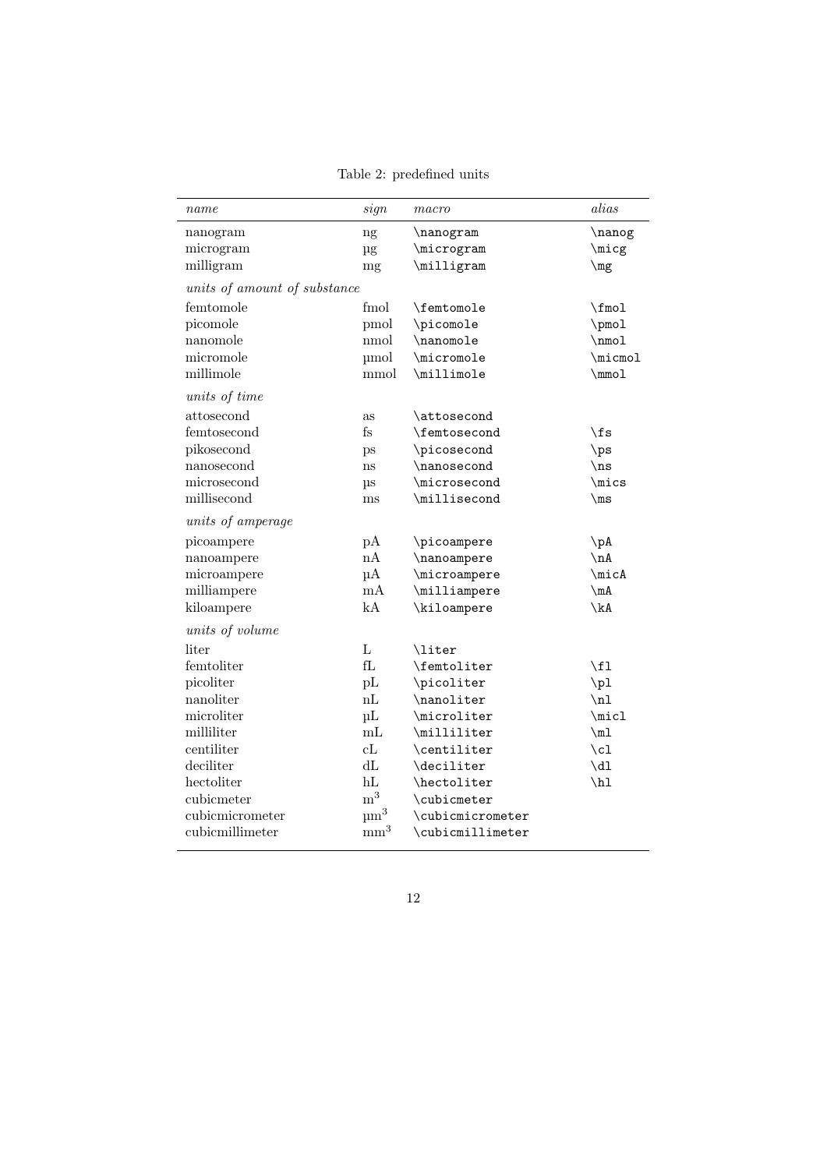Table 2: predefined units

| name                         | sign                 | macro                     | alias                     |
|------------------------------|----------------------|---------------------------|---------------------------|
| nanogram                     | ng                   | \nanogram                 | \nanog                    |
| microgram                    | μg                   | \microgram                | \micg                     |
| milligram                    | mg                   | \milligram                | $\mg$                     |
| units of amount of substance |                      |                           |                           |
| femtomole                    | fmol                 | \femtomole                | \fmol                     |
| picomole                     | pmol                 | \picomole                 | \pmol                     |
| nanomole                     | nmol                 | \nanomole                 | $\mu$                     |
| micromole                    | $\mu$ mol            | \micromole                | \micmol                   |
| millimole                    | mmol                 | \millimole                | $\mu$                     |
| units of time                |                      |                           |                           |
| attosecond                   | as                   | \attosecond               |                           |
| femtosecond                  | $_{\rm fs}$          | \femtosecond              | \fs                       |
| pikosecond                   | ps                   | \picosecond               | $\gamma$                  |
| nanosecond                   | ns                   | \nanosecond               | $\ln s$                   |
| microsecond                  | $\mu$ s              | \microsecond              | \mics                     |
| millisecond                  | ms                   | \millisecond              | $\mathsf{ms}$             |
| units of amperage            |                      |                           |                           |
| picoampere                   | рA                   | \picoampere               | $\Delta$                  |
| nanoampere                   | nA                   | \nanoampere               | $\nightharpoonup$ nA      |
| microampere                  | μA                   | \microampere              | \micA                     |
| milliampere                  | mA                   | \milliampere              | $\mbox{mA}$               |
| kiloampere                   | kA                   | \kiloampere               | \kA                       |
| units of volume              |                      |                           |                           |
| liter                        | $\mathbf L$          | <b>\liter</b>             |                           |
| femtoliter                   | fL                   | \femtoliter               | \fl                       |
| picoliter                    | pL                   | \picoliter                | $\pi$                     |
| nanoliter                    | nL                   | $\lambda$                 | $\n\overline{\mathbb{1}}$ |
| microliter                   | $\mu$ L              | \microliter               | \micl                     |
| milliliter                   | mL                   | \milliliter               | $\mbox{m1}$               |
| centiliter                   | cL                   | \centiliter               | $\chi$ cl                 |
| deciliter                    | dL                   | \deciliter                | $\dagger$                 |
| hectoliter                   | hL                   | \hectoliter               | $\hbar$                   |
| cubicmeter                   | m <sup>3</sup>       | \cubicmeter               |                           |
| cubicmicrometer              | $\mu$ m <sup>3</sup> | \cubicmicrometer          |                           |
| cubicmillimeter              | mm <sup>3</sup>      | $\verb \cubicmillimeter $ |                           |

12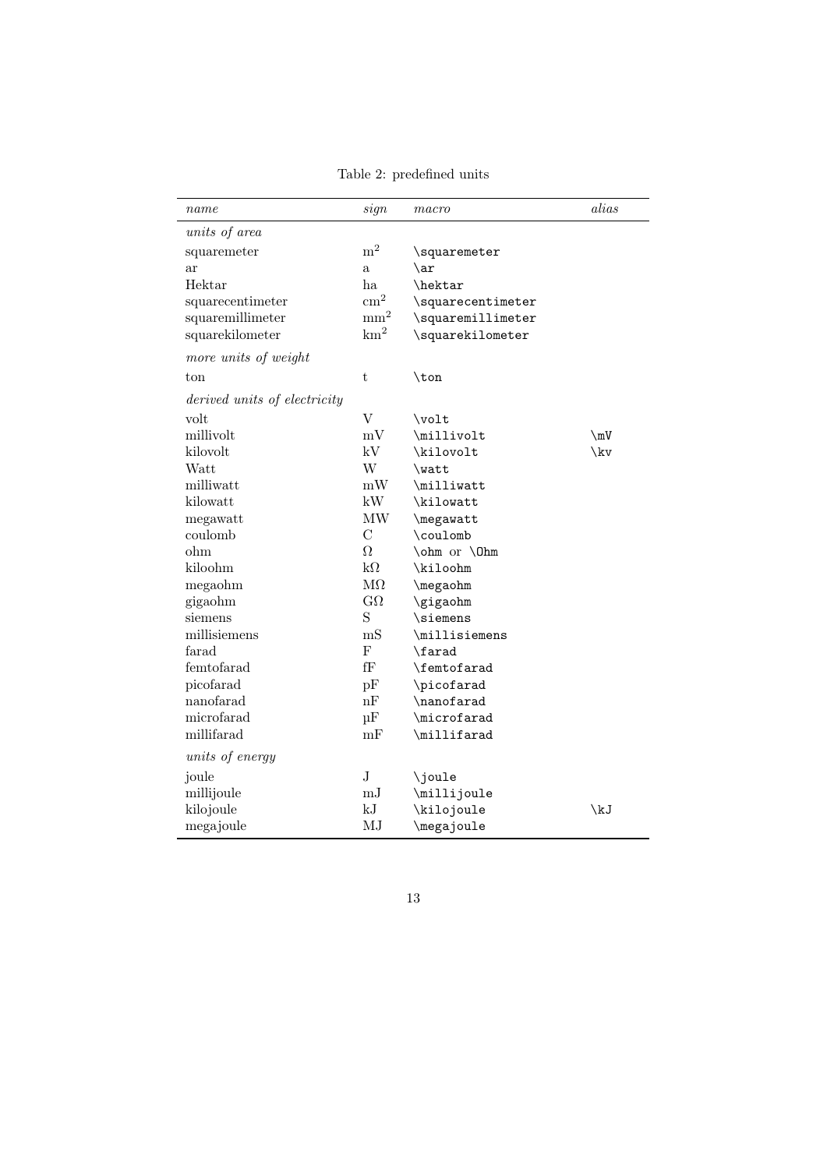Table 2: predefined units

| name                         | sign                            | macro             | alias                      |
|------------------------------|---------------------------------|-------------------|----------------------------|
| units of area                |                                 |                   |                            |
| squaremeter                  | $\rm m^2$                       | \squaremeter      |                            |
| ar                           | $\mathbf{a}$                    | $\ar$             |                            |
| Hektar                       | ha                              | \hektar           |                            |
| squarecentimeter             | $\text{cm}^2$                   | \squarecentimeter |                            |
| squaremillimeter             | mm <sup>2</sup>                 | \squaremillimeter |                            |
| squarekilometer              | km <sup>2</sup>                 | \squarekilometer  |                            |
| more units of weight         |                                 |                   |                            |
| ton                          | $\mathbf t$                     | $\tan$            |                            |
| derived units of electricity |                                 |                   |                            |
| volt                         | $\rm V$                         | $\forall$ volt    |                            |
| millivolt                    | mV                              | \millivolt        | $\mbox{\textbackslash mV}$ |
| kilovolt                     | kV                              | \kilovolt         | \kv                        |
| Watt                         | W                               | \watt             |                            |
| milliwatt                    | mW                              | \milliwatt        |                            |
| kilowatt                     | kW                              | \kilowatt         |                            |
| megawatt                     | $\ensuremath{\text{MW}}\xspace$ | \megawatt         |                            |
| coulomb                      | $\rm _C$                        | \coulomb          |                            |
| ohm                          | Ω                               | \ohm or \0hm      |                            |
| kiloohm                      | $k\Omega$                       | \kiloohm          |                            |
| megaohm                      | $\mathrm{M}\Omega$              | \megaohm          |                            |
| gigaohm                      | $G\Omega$                       | \gigaohm          |                            |
| siemens                      | S                               | \siemens          |                            |
| millisiemens                 | mS                              | \millisiemens     |                            |
| farad                        | $\mathbf F$                     | \farad            |                            |
| femtofarad                   | fF                              | \femtofarad       |                            |
| picofarad                    | pF                              | \picofarad        |                            |
| nanofarad                    | nF                              | \nanofarad        |                            |
| microfarad                   | $\mu$ F                         | \microfarad       |                            |
| millifarad                   | mF                              | \millifarad       |                            |
| units of energy              |                                 |                   |                            |
| joule                        | J                               | \joule            |                            |
| millijoule                   | $\mathrm{mJ}$                   | \millijoule       |                            |
| kilojoule                    | kJ                              | \kilojoule        | \kJ                        |
| megajoule                    | MJ                              | \megajoule        |                            |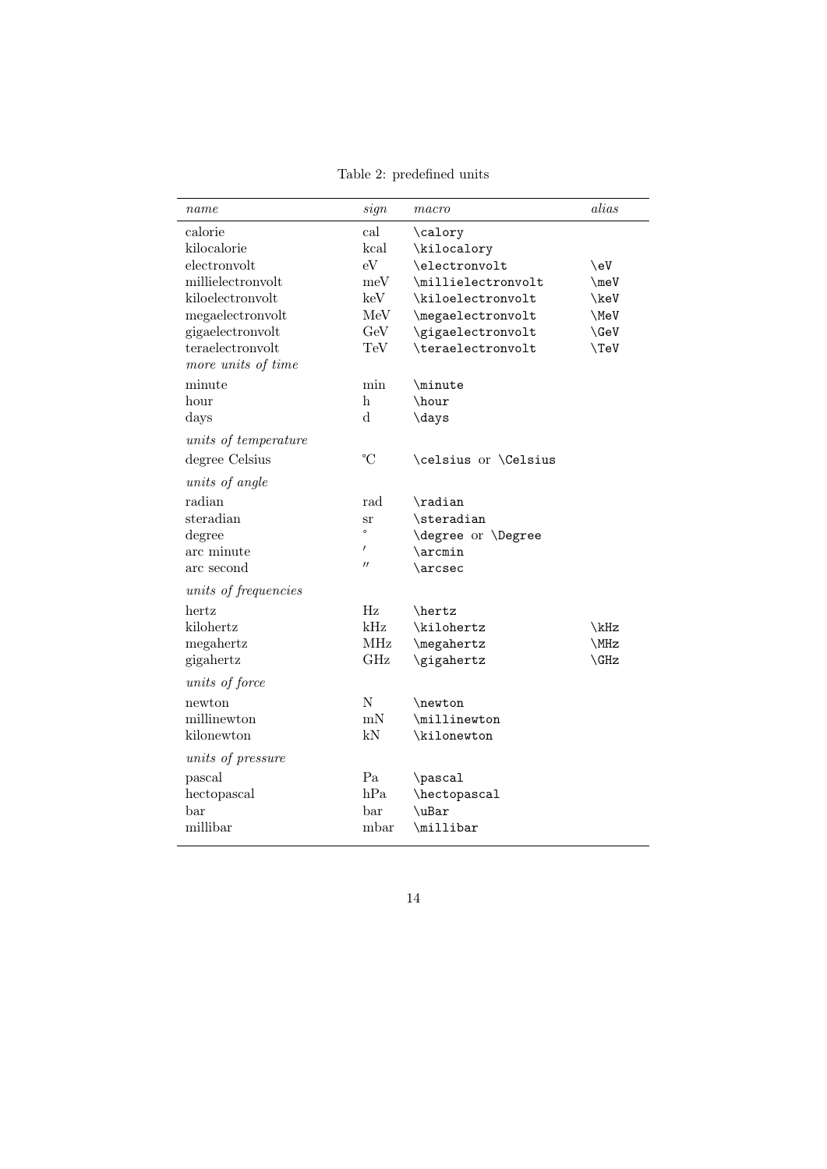Table 2: predefined units

| name                 | sign              | macro                 | alias      |
|----------------------|-------------------|-----------------------|------------|
| calorie              | cal               | \calory               |            |
| kilocalorie          | kcal              | \kilocalory           |            |
| electronvolt         | eV                | \electronvolt         | \eV        |
| millielectronvolt    | meV               | \millielectronvolt    | $\neq$     |
| kiloelectronvolt     | keV               | \kiloelectronvolt     | \keV       |
| megaelectronvolt     | MeV               | \megaelectronvolt     | \MeV       |
| gigaelectronvolt     | GeV               | \gigaelectronvolt     | $\Re$      |
| teraelectronvolt     | TeV               | \teraelectronvolt     | $\Upsilon$ |
| more units of time   |                   |                       |            |
| minute               | min               | \minute               |            |
| hour                 | h                 | \hour                 |            |
| days                 | d                 | \days                 |            |
| units of temperature |                   |                       |            |
| degree Celsius       | $\rm ^{\circ}C$   | \celsius or \Celsius  |            |
| units of angle       |                   |                       |            |
| radian               | rad               | $\lambda$ radian      |            |
| steradian            | <b>Sr</b>         | $\setminus$ steradian |            |
| degree               | $\circ$           | \degree or \Degree    |            |
| arc minute           | $\prime$          | $\arcsin$             |            |
| arc second           | $^{\prime\prime}$ | \arcsec               |            |
| units of frequencies |                   |                       |            |
| hertz                | Hz                | \hertz                |            |
| kilohertz            | kHz               | \kilohertz            | \kHz       |
| megahertz            | MHz               | \megahertz            | \MHz       |
| gigahertz            | GHz               | \gigahertz            | $\chi$ GHz |
| units of force       |                   |                       |            |
| newton               | N                 | \newton               |            |
| millinewton          | mN                | \millinewton          |            |
| kilonewton           | kN                | \kilonewton           |            |
| units of pressure    |                   |                       |            |
| pascal               | Pa                | \pascal               |            |
| hectopascal          | hPa               | \hectopascal          |            |
| bar                  | bar               | $\mathcal{L}$         |            |
| millibar             | mbar              | \millibar             |            |
|                      |                   |                       |            |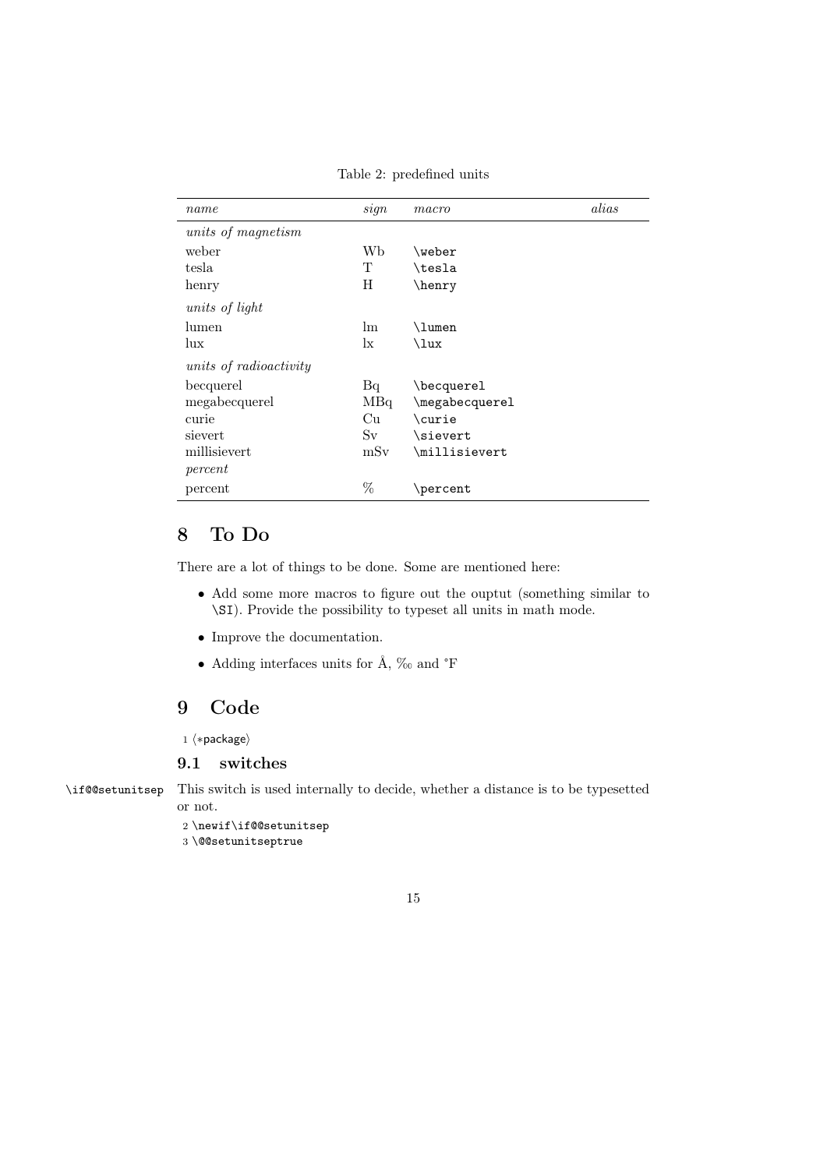Table 2: predefined units

| name                          | sign      | macro          | alias |
|-------------------------------|-----------|----------------|-------|
| units of magnetism            |           |                |       |
| weber                         | Wb        | \weber         |       |
| tesla                         | Т         | \tesla         |       |
| henry                         | H         | \henry         |       |
| units of light                |           |                |       |
| lumen                         | lm.       | \lumen         |       |
| lux                           | $\rm{lx}$ | \lux           |       |
| <i>units of radioactivity</i> |           |                |       |
| becquerel                     | Bq        | \becquerel     |       |
| megabecquerel                 | MBq       | \megabecquerel |       |
| curie                         | Cп        | \curie         |       |
| sievert                       | Sv        | \sievert       |       |
| millisievert                  | mSv       | \millisievert  |       |
| percent                       |           |                |       |
| percent                       | %         | \percent       |       |

## 8 To Do

There are a lot of things to be done. Some are mentioned here:

- Add some more macros to figure out the ouptut (something similar to \SI). Provide the possibility to typeset all units in math mode.
- Improve the documentation.
- Adding interfaces units for Å, ‰ and °F

## 9 Code

1  $\langle *package \rangle$ 

#### 9.1 switches

\if@@setunitsep This switch is used internally to decide, whether a distance is to be typesetted or not.

2 \newif\if@@setunitsep

3 \@@setunitseptrue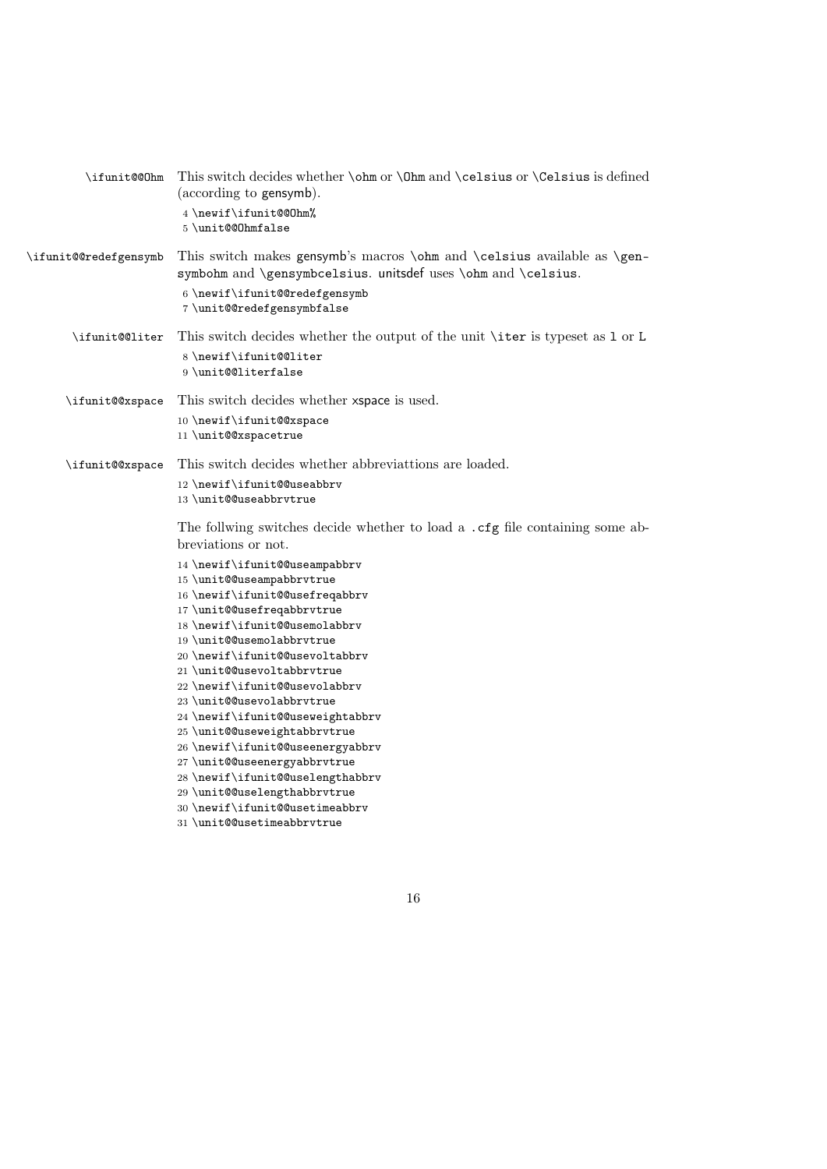| \ifunit@@Ohm          | This switch decides whether \ohm or \Ohm and \celsius or \Celsius is defined<br>(according to gensymb).                                                        |
|-----------------------|----------------------------------------------------------------------------------------------------------------------------------------------------------------|
|                       | 4 \newif\ifunit@@Ohm%<br>5\unit@@Ohmfalse                                                                                                                      |
| \ifunit@@redefgensymb | This switch makes gensymb's macros <b>\ohm</b> and <b>\celsius</b> available as <b>\gen</b> -<br>symbohm and \gensymbcelsius. unitsdef uses \ohm and \celsius. |
|                       | 6 \newif\ifunit@@redefgensymb<br>7\unit@@redefgensymbfalse                                                                                                     |
| \ifunit@@liter        | This switch decides whether the output of the unit \iter is typeset as 1 or L                                                                                  |
|                       | 8 \newif\ifunit@@liter<br>9 \unit@@literfalse                                                                                                                  |
| \ifunit@@xspace       | This switch decides whether xspace is used.                                                                                                                    |
|                       | 10 \newif\ifunit@@xspace                                                                                                                                       |
|                       | 11 \unit@@xspacetrue                                                                                                                                           |
| \ifunit@@xspace       | This switch decides whether abbreviattions are loaded.                                                                                                         |
|                       | 12 \newif\ifunit@@useabbrv                                                                                                                                     |
|                       | 13 \unit@@useabbrvtrue                                                                                                                                         |
|                       | The follwing switches decide whether to load a . cfg file containing some ab-<br>breviations or not.                                                           |
|                       | 14 \newif\ifunit@@useampabbrv                                                                                                                                  |
|                       | 15 \unit@@useampabbrvtrue                                                                                                                                      |
|                       | 16 \newif\ifunit@@usefreqabbrv<br>17 \unit@@usefreqabbrvtrue                                                                                                   |
|                       | 18 \newif\ifunit@@usemolabbrv                                                                                                                                  |
|                       | 19 \unit@@usemolabbrvtrue                                                                                                                                      |
|                       | 20 \newif \ifunit@@usevoltabbrv                                                                                                                                |
|                       | 21 \unit@@usevoltabbrvtrue                                                                                                                                     |
|                       | 22 \newif\ifunit@@usevolabbrv<br>23 \unit@@usevolabbrvtrue                                                                                                     |
|                       | 24 \newif\ifunit@@useweightabbrv                                                                                                                               |
|                       | 25 \unit@@useweightabbrvtrue                                                                                                                                   |
|                       | 26\newif\ifunit@@useenergyabbrv                                                                                                                                |
|                       | 27 \unit@@useenergyabbrvtrue                                                                                                                                   |
|                       | 28 \newif\ifunit@@uselengthabbrv                                                                                                                               |
|                       | 29 \unit@@uselengthabbrvtrue                                                                                                                                   |
|                       | 30 \newif\ifunit@@usetimeabbrv                                                                                                                                 |

\unit@@usetimeabbrvtrue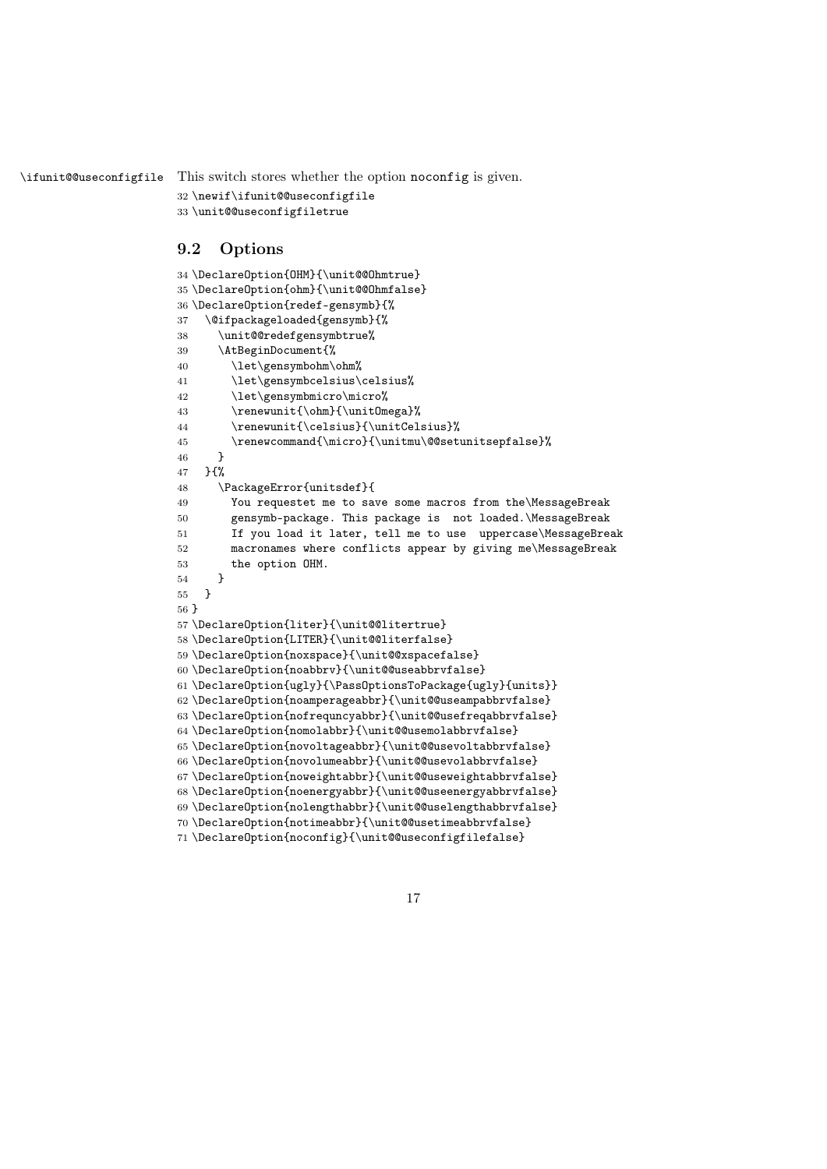\ifunit@@useconfigfile This switch stores whether the option noconfig is given.

```
32 \newif\ifunit@@useconfigfile
33 \unit@@useconfigfiletrue
```
### 9.2 Options

```
34 \DeclareOption{OHM}{\unit@@Ohmtrue}
35 \DeclareOption{ohm}{\unit@@Ohmfalse}
36 \DeclareOption{redef-gensymb}{%
37 \@ifpackageloaded{gensymb}{%
38 \unit@@redefgensymbtrue%
39 \AtBeginDocument{%
40 \let\gensymbohm\ohm%
41 \let\gensymbcelsius\celsius%
42 \let\gensymbmicro\micro%
43 \renewunit{\ohm}{\unitOmega}%
44 \renewunit{\celsius}{\unitCelsius}%
45 \renewcommand{\micro}{\unitmu\@@setunitsepfalse}%
46 }
47 }{%
48 \PackageError{unitsdef}{
49 You requestet me to save some macros from the\MessageBreak
50 gensymb-package. This package is not loaded.\MessageBreak
51 If you load it later, tell me to use uppercase\MessageBreak
52 macronames where conflicts appear by giving me\MessageBreak
53 the option OHM.
54 }
55 }
56 }
57 \DeclareOption{liter}{\unit@@litertrue}
58 \DeclareOption{LITER}{\unit@@literfalse}
59 \DeclareOption{noxspace}{\unit@@xspacefalse}
60 \DeclareOption{noabbrv}{\unit@@useabbrvfalse}
61 \DeclareOption{ugly}{\PassOptionsToPackage{ugly}{units}}
62 \DeclareOption{noamperageabbr}{\unit@@useampabbrvfalse}
63 \DeclareOption{nofrequncyabbr}{\unit@@usefreqabbrvfalse}
64 \DeclareOption{nomolabbr}{\unit@@usemolabbrvfalse}
65 \DeclareOption{novoltageabbr}{\unit@@usevoltabbrvfalse}
66 \DeclareOption{novolumeabbr}{\unit@@usevolabbrvfalse}
67 \DeclareOption{noweightabbr}{\unit@@useweightabbrvfalse}
68 \DeclareOption{noenergyabbr}{\unit@@useenergyabbrvfalse}
69 \DeclareOption{nolengthabbr}{\unit@@uselengthabbrvfalse}
70 \DeclareOption{notimeabbr}{\unit@@usetimeabbrvfalse}
71 \DeclareOption{noconfig}{\unit@@useconfigfilefalse}
```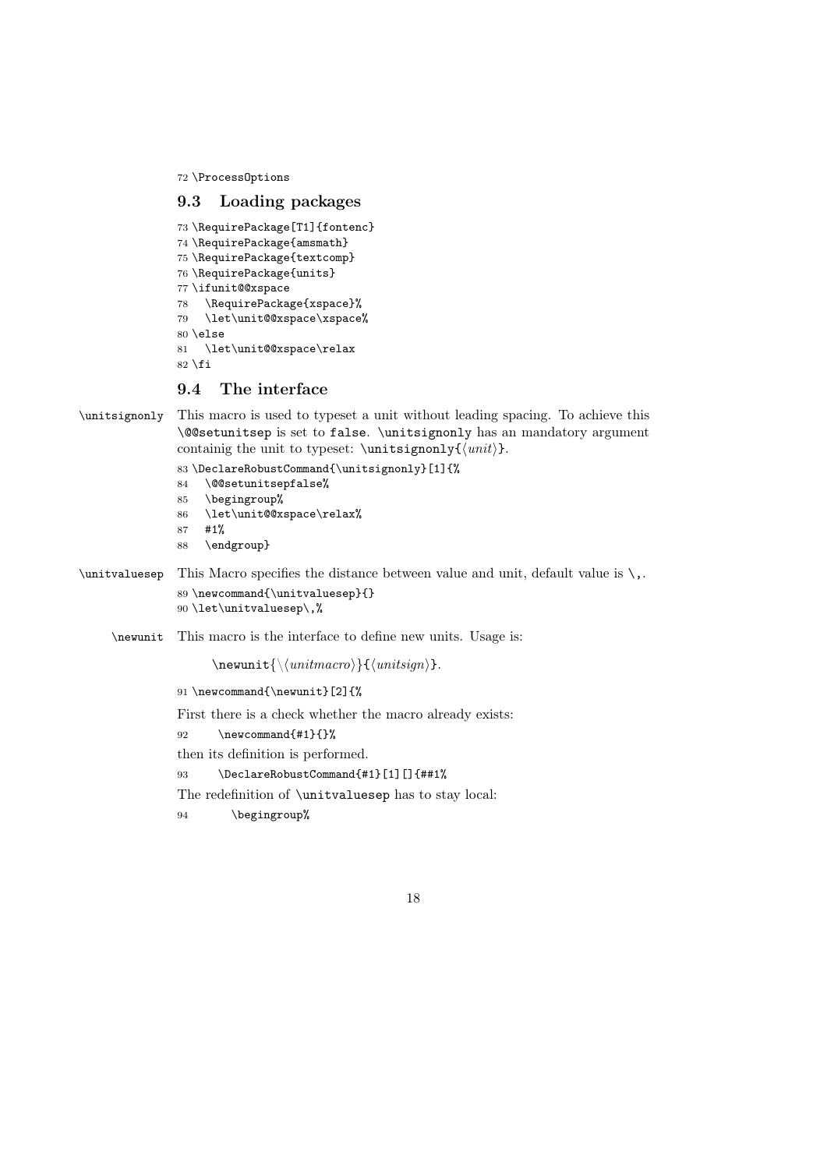72 \ProcessOptions

### 9.3 Loading packages

```
73 \RequirePackage[T1]{fontenc}
74 \RequirePackage{amsmath}
75 \RequirePackage{textcomp}
76 \RequirePackage{units}
77 \ifunit@@xspace
78 \RequirePackage{xspace}%
79 \let\unit@@xspace\xspace%
80 \text{ } \text{else}81 \let\unit@@xspace\relax
82 \fi
```
## 9.4 The interface

\unitsignonly This macro is used to typeset a unit without leading spacing. To achieve this \@@setunitsep is set to false. \unitsignonly has an mandatory argument containig the unit to typeset:  $\unit{unit}\$ .

```
83 \DeclareRobustCommand{\unitsignonly}[1]{%
```
- 84 \@@setunitsepfalse%
- 85 \begingroup%
- 86 \let\unit@@xspace\relax%
- 87 #1%
- 88 \endgroup}
- \unitvaluesep This Macro specifies the distance between value and unit, default value is \,. 89 \newcommand{\unitvaluesep}{} 90 \let\unitvaluesep\,%
	- \newunit This macro is the interface to define new units. Usage is:

```
\text{\\{}\{unitmacro\} \}{\unitsign}}.
```
91 \newcommand{\newunit}[2]{%

First there is a check whether the macro already exists:

- 92 \newcommand{#1}{}%
- then its definition is performed.
- 93 \DeclareRobustCommand{#1}[1][]{##1%

The redefinition of \unitvaluesep has to stay local:

94 \begingroup%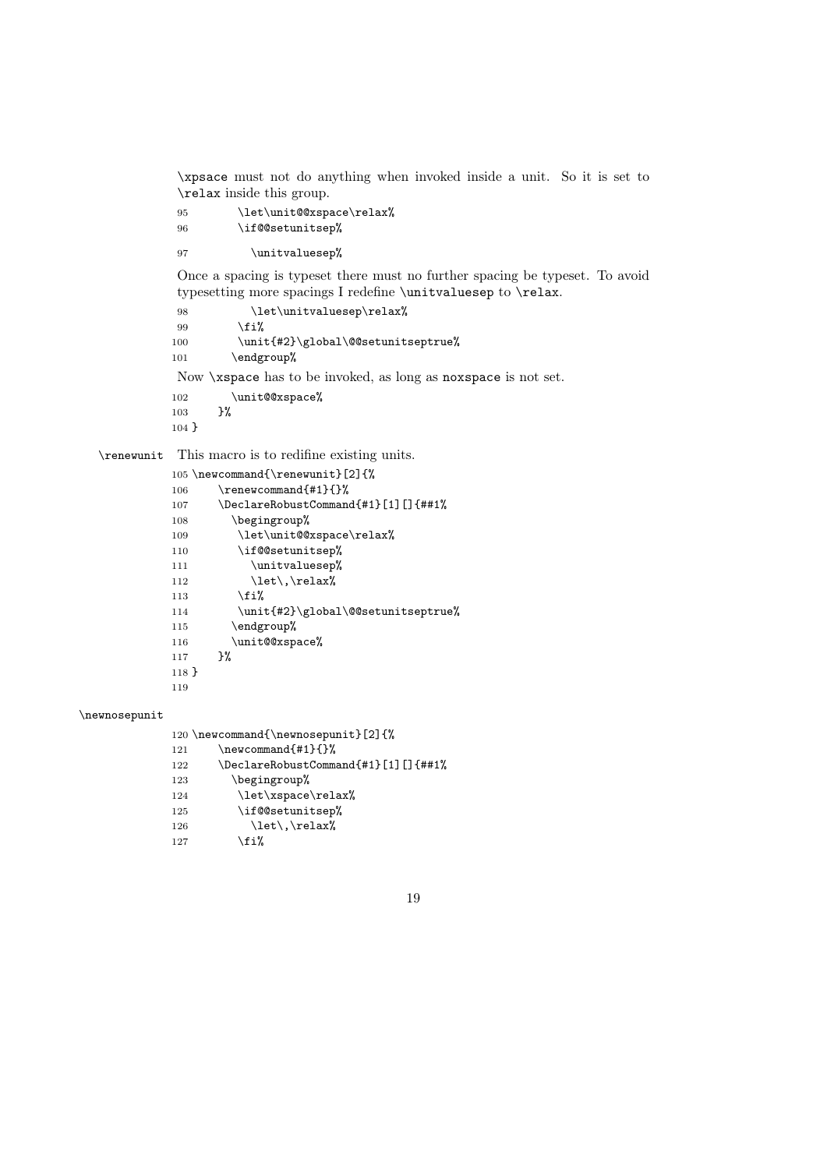\xpsace must not do anything when invoked inside a unit. So it is set to \relax inside this group.

```
95 \let\unit@0xspace\relax%
96 \if@@setunitsep%
```
97 \unitvaluesep%

Once a spacing is typeset there must no further spacing be typeset. To avoid typesetting more spacings I redefine \unitvaluesep to \relax.

```
98 \let\unitvaluesep\relax%
99 \fi%
100 \unit{#2}\global\@@setunitseptrue%
101 \endgroup%
```
Now \xspace has to be invoked, as long as noxspace is not set.

```
102 \unit@{\text{exspace}}\103 }%
103104 }
```
\renewunit This macro is to redifine existing units.

```
105 \newcommand{\renewunit}[2]{%
106 \renewcommand{#1}{}%
107 \DeclareRobustCommand{#1}[1][]{##1%
108 \begingroup%
109 \let\unit@@xspace\relax%
110 \if@@setunitsep%
111 \unitvaluesep%
112 \left\{\text{let}\right\}113 \overrightarrow{fi}114 \unit{#2}\global\@@setunitseptrue%
115 \endgroup%
116 \unit@@xspace%
117 }%
118 }
119
```
#### \newnosepunit

120 \newcommand{\newnosepunit}[2]{%  $121.1 \text{cm}$ 

| -121 | \newcommandi#lii/                   |
|------|-------------------------------------|
| 122  | \DeclareRobustCommand{#1}[1][]{##1% |
| 123  | \begingroup%                        |
| 124  | \let\xspace\relax%                  |
| 125  | \if@@setunitsep%                    |
| 126  | $\let\,\relax\$                     |
| 127  | \fi%                                |
|      |                                     |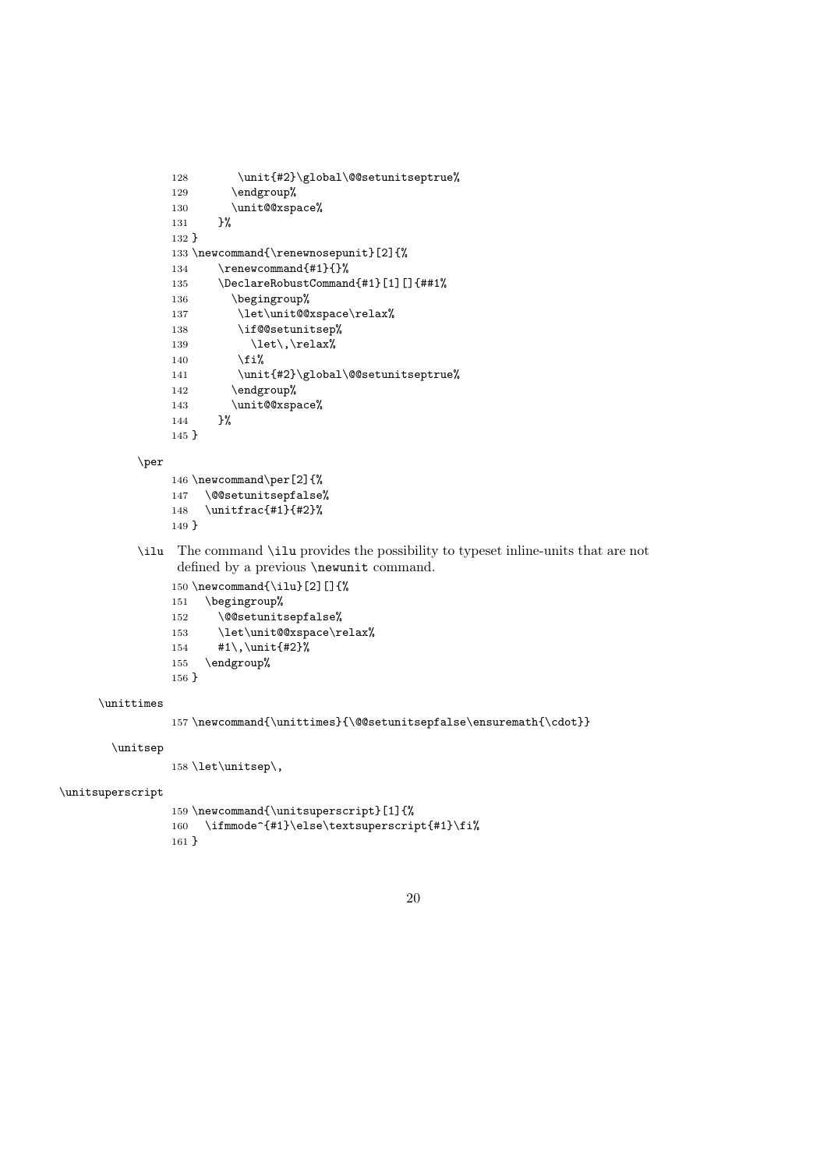```
128 \unit{#2}\global\@setunitseptrue%<br>129 \endgroup%
         \endgroup%
130 \unit@{\text{expace}}\131 }%
131132 }
133 \newcommand{\renewnosepunit}[2]{%
134 \renewcommand{#1}{}%
135 \DeclareRobustCommand{#1}[1][]{##1%
136 \begingroup%
137 \let\unit@@xspace\relax%
138 \if@@setunitsep%
139 \left\{\text{let}\right\}140 \overrightarrow{12}141 \unit{#2}\global\@@setunitseptrue%<br>142 \endgroup%
         \endgroup%
143 \unit@@xspace%
144 }%
145 }
```
\per

```
146 \newcommand\per[2]{%
147 \@@setunitsepfalse%
148 \unitfrac{#1}{#2}%
149 }
```
\ilu The command \ilu provides the possibility to typeset inline-units that are not defined by a previous **\newunit** command.

```
150 \newcommand{\tilde{2}[]\
```

```
151 \begingroup%
```
- 152 \@@setunitsepfalse%
- 153 \let\unit@@xspace\relax%
- 154 #1\,\unit{#2}%
- 155 \endgroup%

```
156 }
```
#### \unittimes

```
157 \newcommand{\unittimes}{\@@setunitsepfalse\ensuremath{\cdot}}
```
#### \unitsep

158 \let\unitsep\,

#### \unitsuperscript

```
159 \newcommand{\unitsuperscript}[1]{%
160 \ifmmode^{#1}\else\textsuperscript{#1}\fi%
161 }
```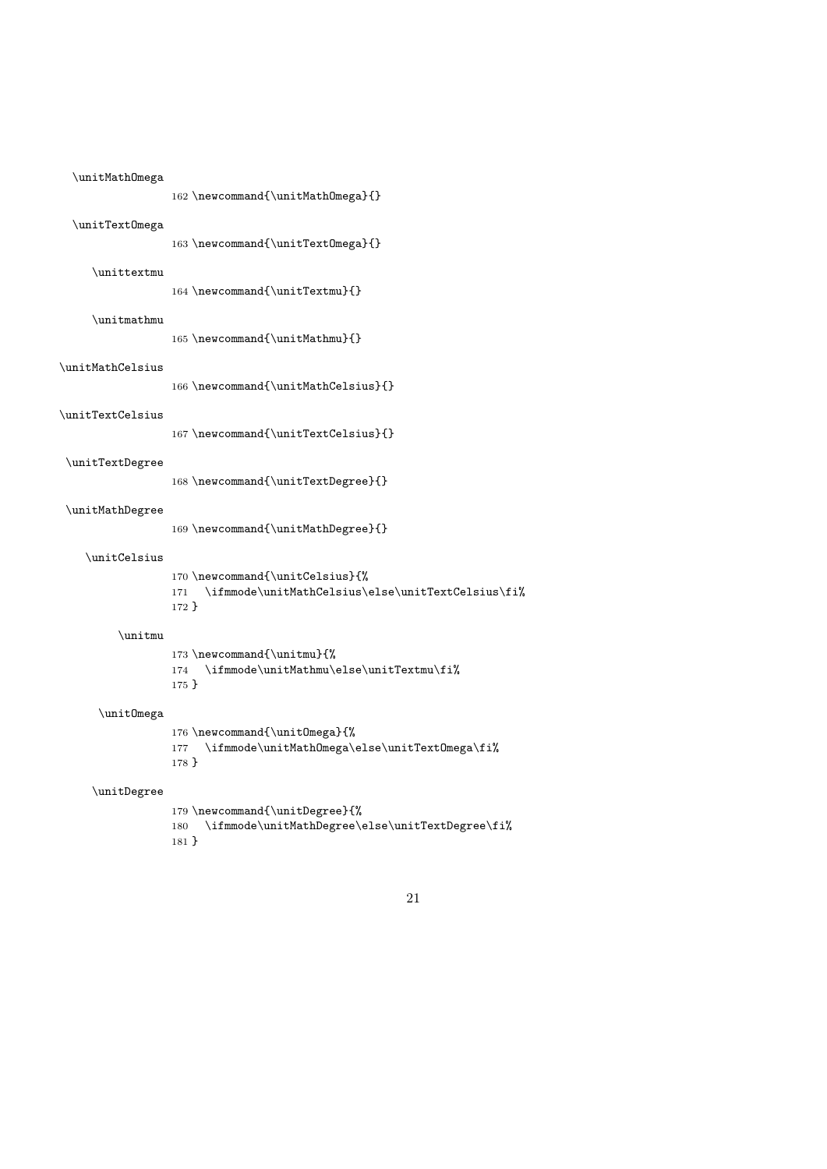| \unitMathOmega   | 162 \newcommand{\unitMathOmega}{}                                                                      |
|------------------|--------------------------------------------------------------------------------------------------------|
| \unitText0mega   | 163\newcommand{\unitTextOmega}{}                                                                       |
| \unittextmu      | 164 \newcommand{\unitTextmu}{}                                                                         |
| \unitmathmu      | 165 \newcommand{\unitMathmu}{}                                                                         |
| \unitMathCelsius |                                                                                                        |
| \unitTextCelsius | 166 \newcommand{\unitMathCelsius}{}                                                                    |
| \unitTextDegree  | 167 \newcommand{\unitTextCelsius}{}                                                                    |
|                  | 168 \newcommand{\unitTextDegree}{}                                                                     |
| \unitMathDegree  | 169 \newcommand{\unitMathDegree}{}                                                                     |
| \unitCelsius     | 170 \newcommand{\unitCelsius}{%<br>\ifmmode\unitMathCelsius\else\unitTextCelsius\fi%<br>171<br>$172$ } |
| \unitmu          | 173 \newcommand{\unitmu}{%<br>174 \ifmmode\unitMathmu\else\unitTextmu\fi%<br>$175$ }                   |
| \unitOmega       | 176 \newcommand{\unitOmega}{%<br>\ifmmode\unitMathOmega\else\unitTextOmega\fi%<br>177                  |
|                  | $178$ }                                                                                                |
| \unitDegree      | 179 \newcommand{\unitDegree}{%<br>\ifmmode\unitMathDegree\else\unitTextDegree\fi%<br>180<br>$181 \}$   |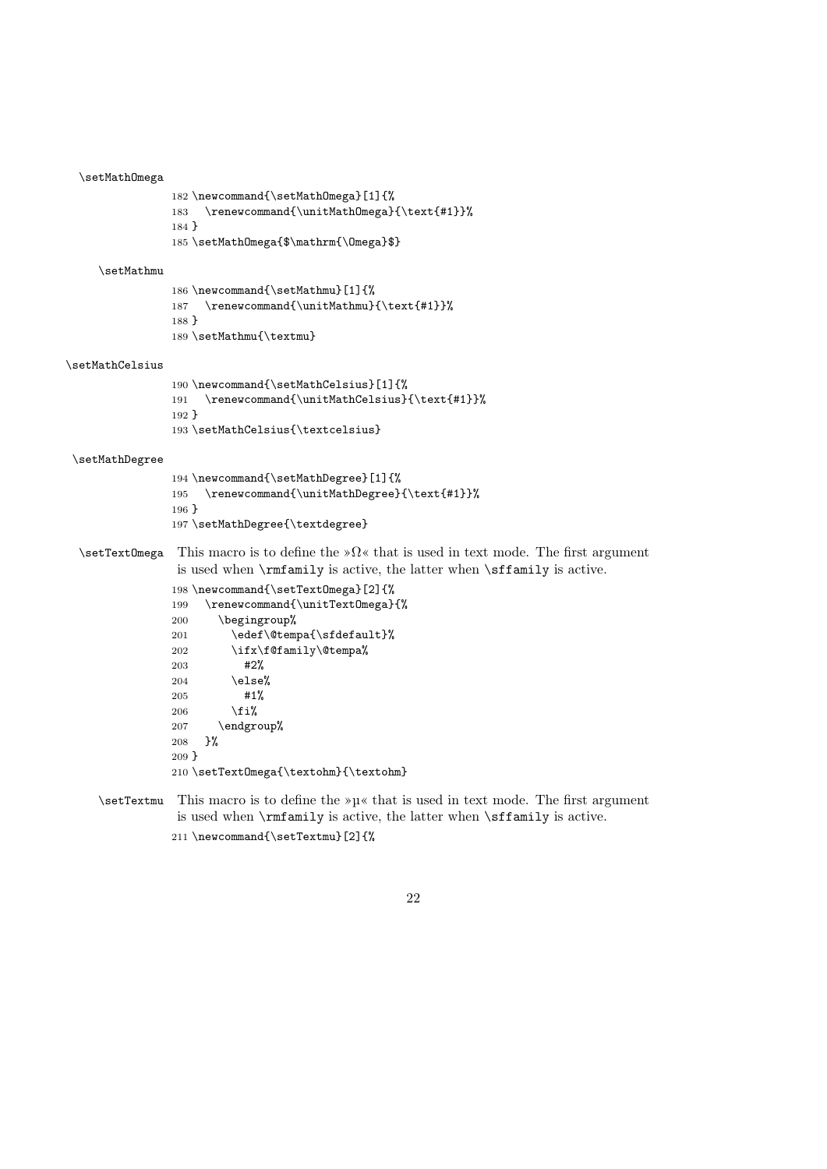#### \setMathOmega

```
182 \newcommand{\setMathOmega}[1]{%
183 \renewcommand{\unitMathOmega}{\text{#1}}%
184 }
185 \setMathOmega{$\mathrm{\Omega}$}
```
#### \setMathmu

```
186 \newcommand{\setMathmu}[1]{%
187 \renewcommand{\unitMathmu}{\text{#1}}%
188 }
189 \setMathmu{\textmu}
```
#### \setMathCelsius

```
190 \newcommand{\setMathCelsius}[1]{%
191 \renewcommand{\unitMathCelsius}{\text{#1}}%
192 }
193 \setMathCelsius{\textcelsius}
```
#### \setMathDegree

- \newcommand{\setMathDegree}[1]{% \renewcommand{\unitMathDegree}{\text{#1}}% } \setMathDegree{\textdegree}
- $\setminus$ setTextOmega This macro is to define the » $\Omega$ « that is used in text mode. The first argument is used when \rmfamily is active, the latter when \sffamily is active.

```
198 \newcommand{\setTextOmega}[2]{%
199 \renewcommand{\unitTextOmega}{%
200 \begingroup%
201 \edef\@tempa{\sfdefault}%
202 \ifx\f@family\@tempa%
203 #2%
204 \else%
205 #1%
206 \fi%
207 \endgroup%
208 }%
209 }
210 \setTextOmega{\textohm}{\textohm}
```
- $\setminus$ setTextmu This macro is to define the » $\mu$ « that is used in text mode. The first argument is used when \rmfamily is active, the latter when \sffamily is active.
	- \newcommand{\setTextmu}[2]{%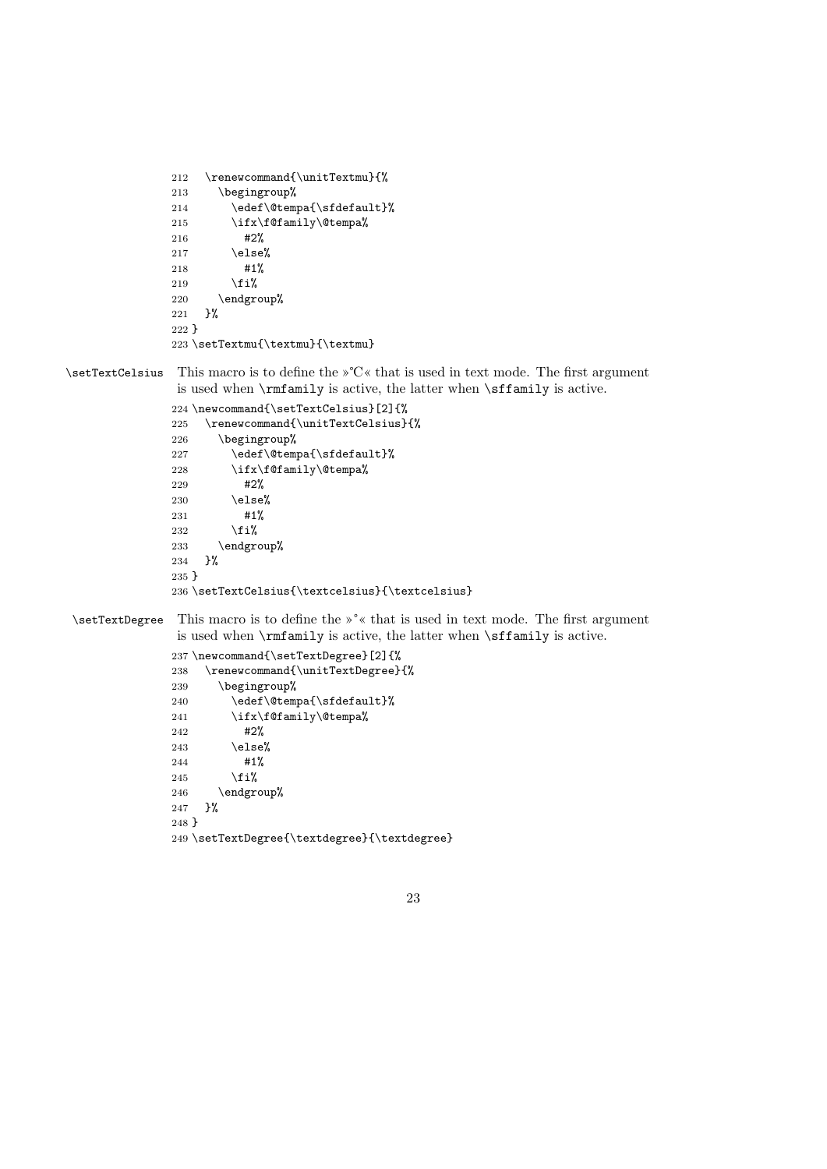```
212 \renewcommand{\unitTextmu}{%<br>213 \begingroup%
       \begingroup%
214 \edef\@tempa{\sfdefault}%
215 \ifx\f@family\@tempa%
216 #2%
217 \else%
218 #1%
219 \overline{if'_s}220 \endgroup%
221 }%
222 }
223 \setTextmu{\textmu}{\textmu}
```
\setTextCelsius This macro is to define the »℃« that is used in text mode. The first argument is used when \rmfamily is active, the latter when \sffamily is active.

```
224 \newcommand{\setTextCelsius}[2]{%
225 \renewcommand{\unitTextCelsius}{%
226 \begingroup%
227 \edef\@tempa{\sfdefault}%
228 \ifx\f@family\@tempa%
229 #2%
230 \text{ \textdegree}231 #1%
232 \overrightarrow{1}233 \endgroup%<br>234 }%
234
235 }
236 \setTextCelsius{\textcelsius}{\textcelsius}
```
\setTextDegree This macro is to define the »°« that is used in text mode. The first argument is used when \rmfamily is active, the latter when \sffamily is active.

```
237 \newcommand{\setTextDegree}[2]{%
238 \renewcommand{\unitTextDegree}{%
239 \begingroup%
240 \edef\@tempa{\sfdefault}%
241 \ifx\f@family\@tempa%
242 #2%
243 \else%
244 #1%
245 \overrightarrow{1}246 \endgroup%
247 }%
248 }
249 \setTextDegree{\textdegree}{\textdegree}
```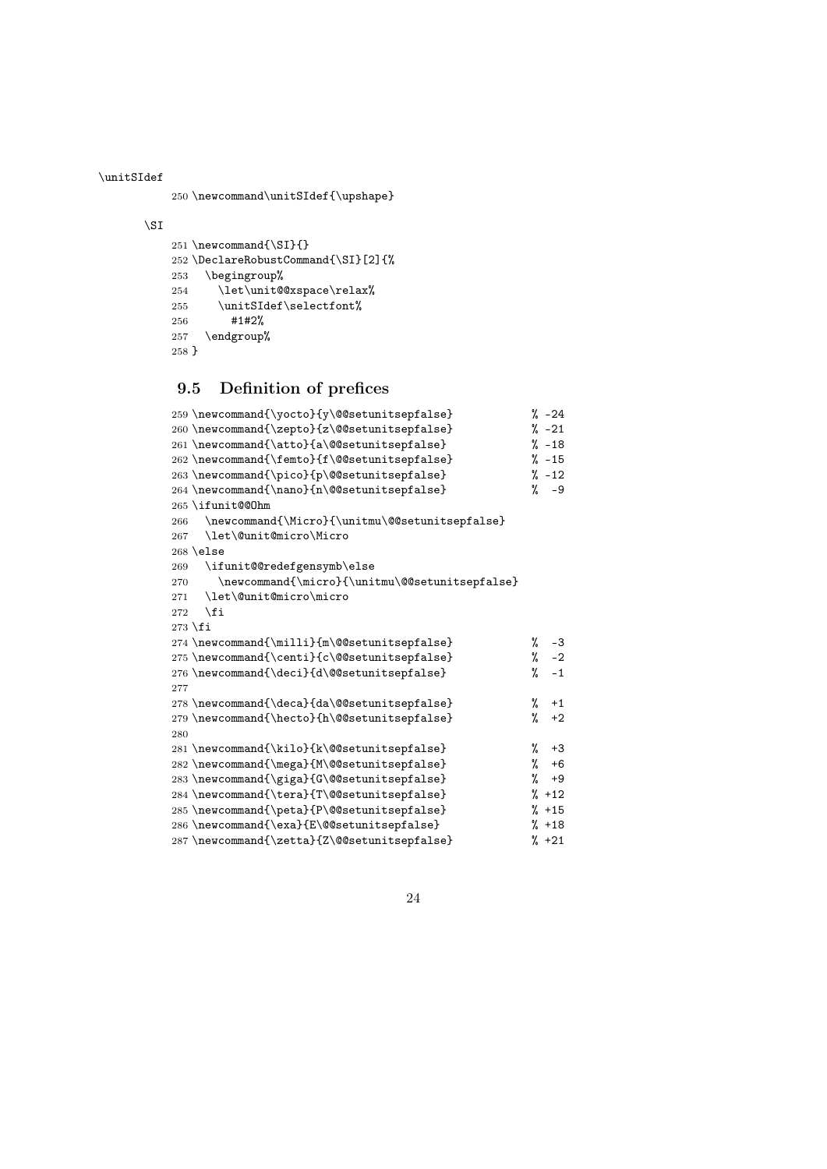\unitSIdef

\newcommand\unitSIdef{\upshape}

#### \SI

```
251 \newcommand{\SI}{}
252 \DeclareRobustCommand{\SI}[2]{%
253 \begingroup%
254 \let\unit@@xspace\relax%
255 \unitSIdef\selectfont%
256 #1#2%
257 \endgroup%
258 }
```
## 9.5 Definition of prefices

```
259 \newcommand{\yocto}{y\@@setunitsepfalse} % -24
260 \newcommand{\zepto}{z\@@setunitsepfalse} % -21
261 \newcommand{\atto}{a\@@setunitsepfalse} % -18
262 \newcommand{\femto}{f\@@setunitsepfalse} % -15
263 \newcommand{\pico}{p\@@setunitsepfalse} % -12
264 \newcommand{\nano}{n\@@setunitsepfalse} % -9
265 \ifunit@@Ohm
266 \newcommand{\Micro}{\unitmu\@@setunitsepfalse}
267 \let\@unit@micro\Micro
268 \else
269 \ifunit@@redefgensymb\else
270 \newcommand{\micro}{\unitmu\@@setunitsepfalse}
271 \let\@unit@micro\micro
272 \ifmmode \big\vert \fi
273 \fi
274 \newcommand{\milli}{m\@@setunitsepfalse} % -3
275 \newcommand{\centi}{c\@@setunitsepfalse} % -2
276 \newcommand{\deci}{d\@@setunitsepfalse} % -1
277
278 \newcommand{\deca}{da\@@setunitsepfalse} % +1
279 \newcommand{\hecto}{h\@@setunitsepfalse} \frac{279}{8} +2
280
281 \newcommand{\kilo}{k\@@setunitsepfalse} \% +3
282 \newcommand{\mega}{M\@@setunitsepfalse} % +6
283 \newcommand{\giga}{G\@@setunitsepfalse} % +9
284 \newcommand{\tera}{T\@@setunitsepfalse} % +12
285 \newcommand{\peta}{P\@@setunitsepfalse} % +15
286 \newcommand{\exa}{E\@@setunitsepfalse} % +18
287 \newcommand{\zetta}{Z\@@setunitsepfalse} % +21
```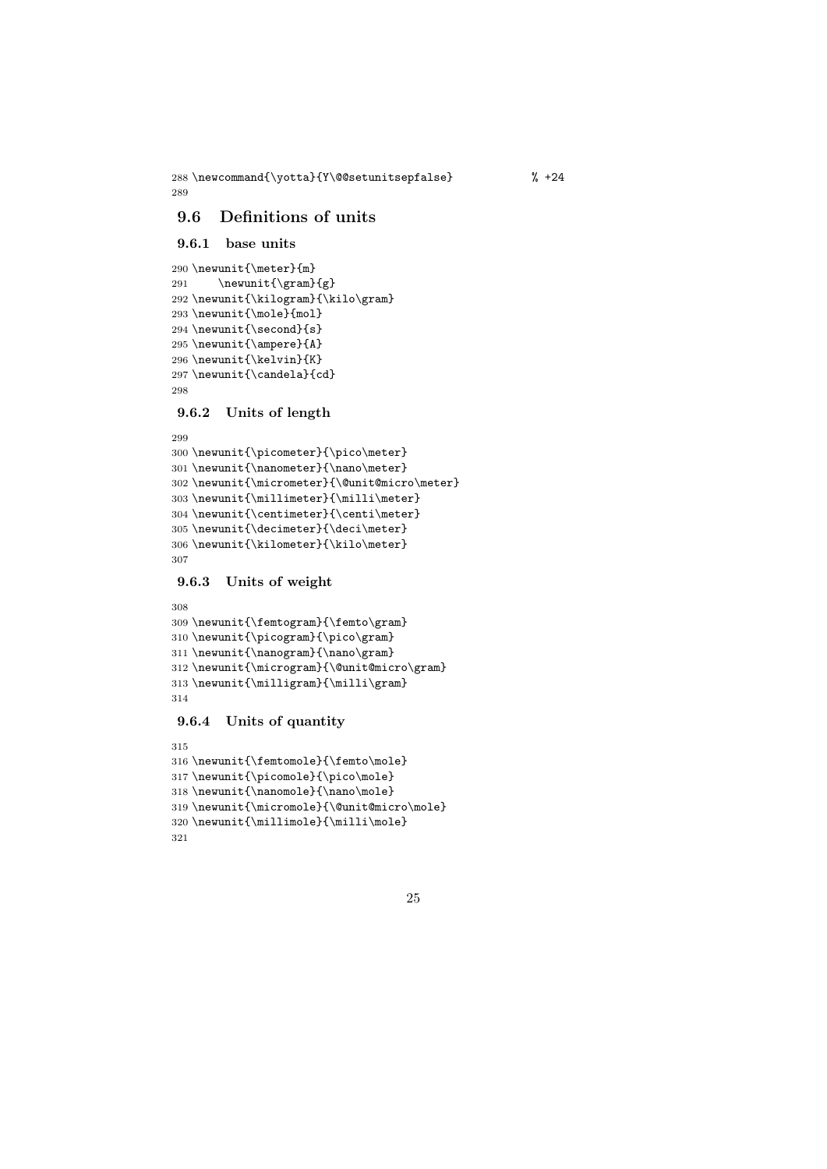\newcommand{\yotta}{Y\@@setunitsepfalse} % +24 

### 9.6 Definitions of units

```
9.6.1 base units
```

```
290 \newunit{\meter}{m}
291 \newunit{\gram}{g}
292 \newunit{\kilogram}{\kilo\gram}
293 \newunit{\mole}{mol}
294 \newunit{\second}{s}
295 \newunit{\ampere}{A}
296 \newunit{\kelvin}{K}
297 \newunit{\candela}{cd}
298
```
#### 9.6.2 Units of length

```
300 \newunit{\picometer}{\pico\meter}
301 \newunit{\nanometer}{\nano\meter}
302 \newunit{\micrometer}{\@unit@micro\meter}
303 \newunit{\millimeter}{\milli\meter}
304 \newunit{\centimeter}{\centi\meter}
305 \newunit{\decimeter}{\deci\meter}
306 \newunit{\kilometer}{\kilo\meter}
307
```
#### 9.6.3 Units of weight

```
308
309 \newunit{\femtogram}{\femto\gram}
310 \newunit{\picogram}{\pico\gram}
311 \newunit{\nanogram}{\nano\gram}
312 \newunit{\microgram}{\@unit@micro\gram}
313 \newunit{\milligram}{\milli\gram}
314
```
### 9.6.4 Units of quantity

```
315
316 \newunit{\femtomole}{\femto\mole}
317 \newunit{\picomole}{\pico\mole}
318 \newunit{\nanomole}{\nano\mole}
319 \newunit{\micromole}{\@unit@micro\mole}
320 \newunit{\millimole}{\milli\mole}
321
```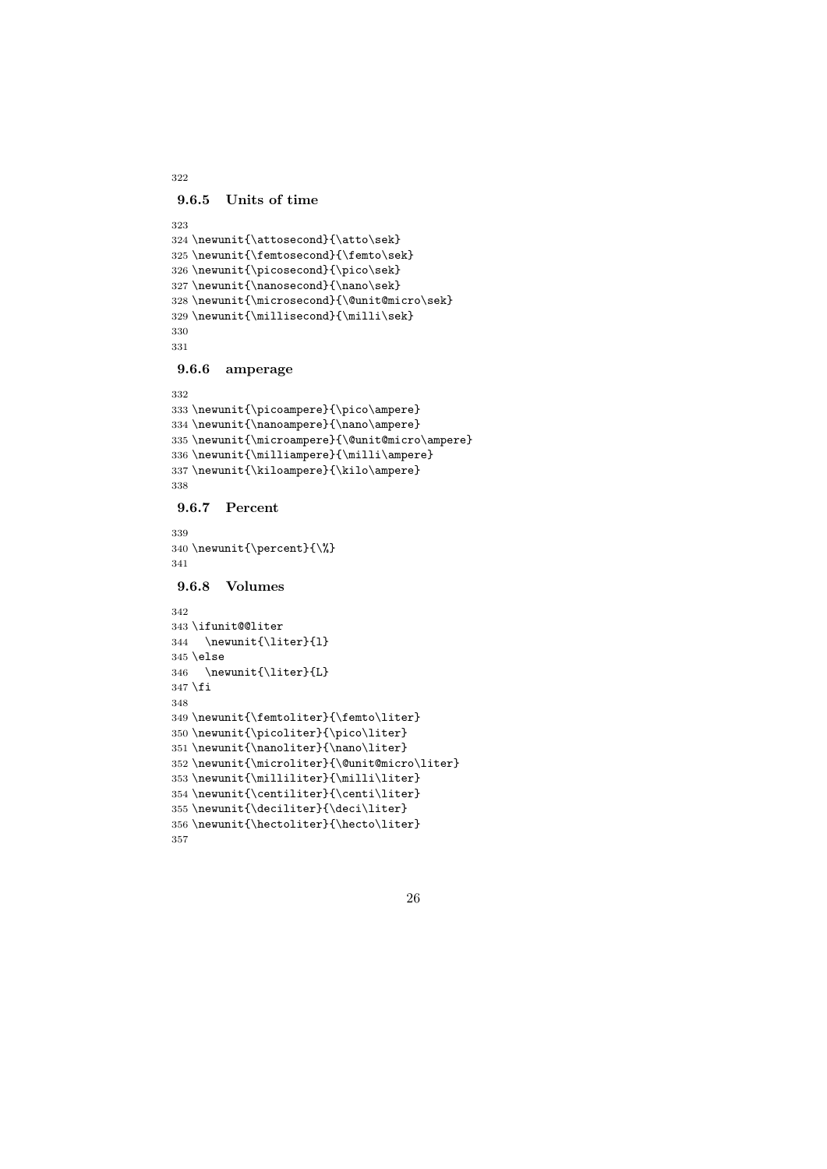```
9.6.5 Units of time
```

```
323
324 \newunit{\attosecond}{\atto\sek}
325 \newunit{\femtosecond}{\femto\sek}
326 \newunit{\picosecond}{\pico\sek}
327 \newunit{\nanosecond}{\nano\sek}
328 \newunit{\microsecond}{\@unit@micro\sek}
329 \newunit{\millisecond}{\milli\sek}
330
331
```
#### 9.6.6 amperage

```
332
333 \newunit{\picoampere}{\pico\ampere}
334 \newunit{\nanoampere}{\nano\ampere}
335 \newunit{\microampere}{\@unit@micro\ampere}
336 \newunit{\milliampere}{\milli\ampere}
337 \newunit{\kiloampere}{\kilo\ampere}
338
```
### 9.6.7 Percent

```
339
340 \newunit{\percent}{\%}
341
```
#### 9.6.8 Volumes

```
342
343 \ifunit@@liter
344 \newunit{\liter}{l}
345 \else
346 \newunit{\liter}{L}
347 \fi
348
349 \newunit{\femtoliter}{\femto\liter}
350 \newunit{\picoliter}{\pico\liter}
351 \newunit{\nanoliter}{\nano\liter}
352 \newunit{\microliter}{\@unit@micro\liter}
353 \newunit{\milliliter}{\milli\liter}
354 \newunit{\centiliter}{\centi\liter}
355 \newunit{\deciliter}{\deci\liter}
356 \newunit{\hectoliter}{\hecto\liter}
357
```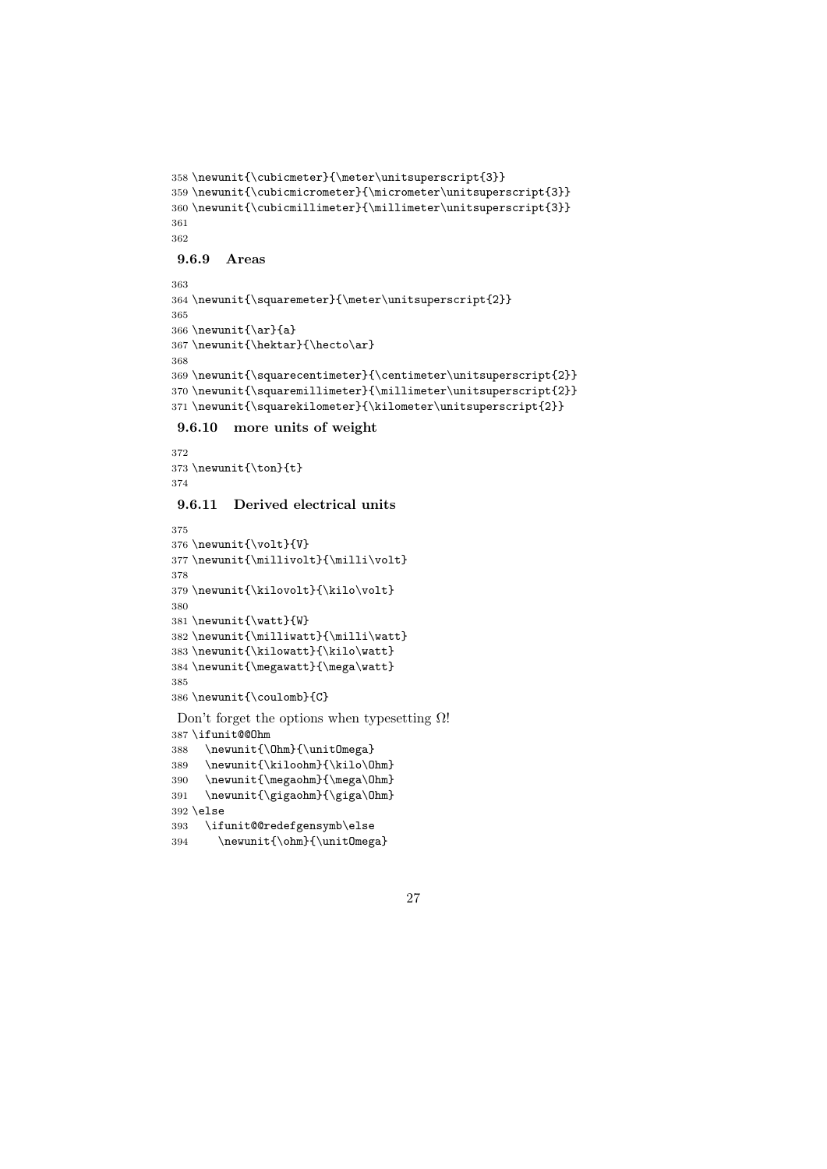```
358 \newunit{\cubicmeter}{\meter\unitsuperscript{3}}
359 \newunit{\cubicmicrometer}{\micrometer\unitsuperscript{3}}
360 \newunit{\cubicmillimeter}{\millimeter\unitsuperscript{3}}
361
362
9.6.9 Areas
363
```

```
364 \newunit{\squaremeter}{\meter\unitsuperscript{2}}
365
366 \newunit{\ar}{a}
367\newunit{\hektar}{\hecto\ar}
368
369 \newunit{\squarecentimeter}{\centimeter\unitsuperscript{2}}
370 \newunit{\squaremillimeter}{\millimeter\unitsuperscript{2}}
371 \newunit{\squarekilometer}{\kilometer\unitsuperscript{2}}
```
9.6.10 more units of weight

```
372
373 \newunit{\ton}{t}
374
```
### 9.6.11 Derived electrical units

```
375
376 \newunit{\volt}{V}
377 \newunit{\millivolt}{\milli\volt}
378
379 \newunit{\kilovolt}{\kilo\volt}
380
381 \newunit{\watt}{W}
382 \newunit{\milliwatt}{\milli\watt}
383 \newunit{\kilowatt}{\kilo\watt}
384 \newunit{\megawatt}{\mega\watt}
385
386 \newunit{\coulomb}{C}
```
Don't forget the options when typesetting  $Ω!$  \ifunit@@Ohm \newunit{\Ohm}{\unitOmega} \newunit{\kiloohm}{\kilo\Ohm} \newunit{\megaohm}{\mega\Ohm}

```
391 \newunit{\gigaohm}{\giga\Ohm}
392 \else
393 \ifunit@@redefgensymb\else
```

```
394 \newunit{\ohm}{\unitOmega}
```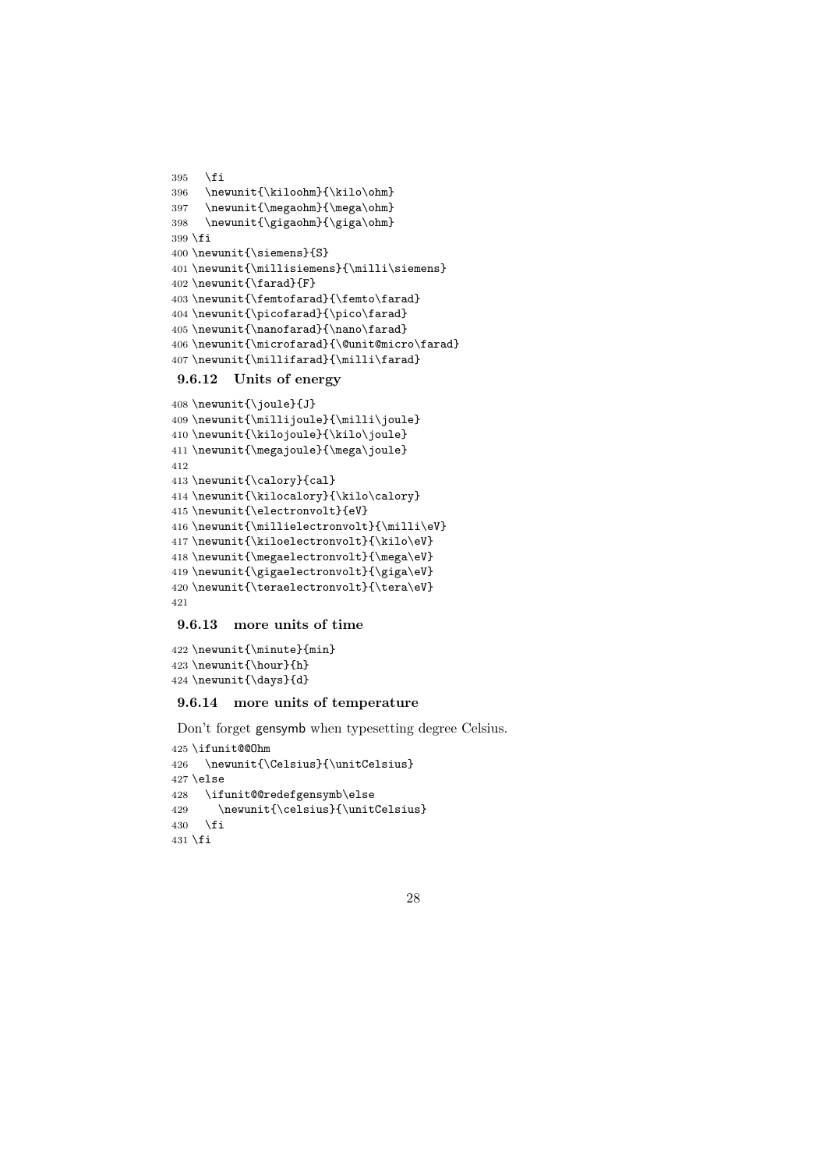```
395 \fi
396 \newunit{\kiloohm}{\kilo\ohm}
397 \newunit{\megaohm}{\mega\ohm}
398 \newunit{\gigaohm}{\giga\ohm}
399 \fi
400 \newunit{\siemens}{S}
401 \newunit{\millisiemens}{\milli\siemens}
402 \newunit{\farad}{F}
403 \newunit{\femtofarad}{\femto\farad}
404 \newunit{\picofarad}{\pico\farad}
405 \newunit{\nanofarad}{\nano\farad}
406 \newunit{\microfarad}{\@unit@micro\farad}
407 \newunit{\millifarad}{\milli\farad}
```
#### 9.6.12 Units of energy

```
408 \newunit{\joule}{J}
409 \newunit{\millijoule}{\milli\joule}
410 \newunit{\kilojoule}{\kilo\joule}
411 \newunit{\megajoule}{\mega\joule}
412
413 \newunit{\calory}{cal}
414 \newunit{\kilocalory}{\kilo\calory}
415 \newunit{\electronvolt}{eV}
416 \newunit{\millielectronvolt}{\milli\eV}
417 \newunit{\kiloelectronvolt}{\kilo\eV}
418 \newunit{\megaelectronvolt}{\mega\eV}
419 \newunit{\gigaelectronvolt}{\giga\eV}
420 \newunit{\teraelectronvolt}{\tera\eV}
421
```
### 9.6.13 more units of time

```
422 \newunit{\minute}{min}
423 \newunit{\hour}{h}
424 \newunit{\days}{d}
```
#### 9.6.14 more units of temperature

Don't forget gensymb when typesetting degree Celsius.

```
425 \ifunit@@Ohm
426 \newunit{\Celsius}{\unitCelsius}
427 \else
428 \ifunit@@redefgensymb\else
429 \newunit{\celsius}{\unitCelsius}
430 \setminusfi
431 \fi
```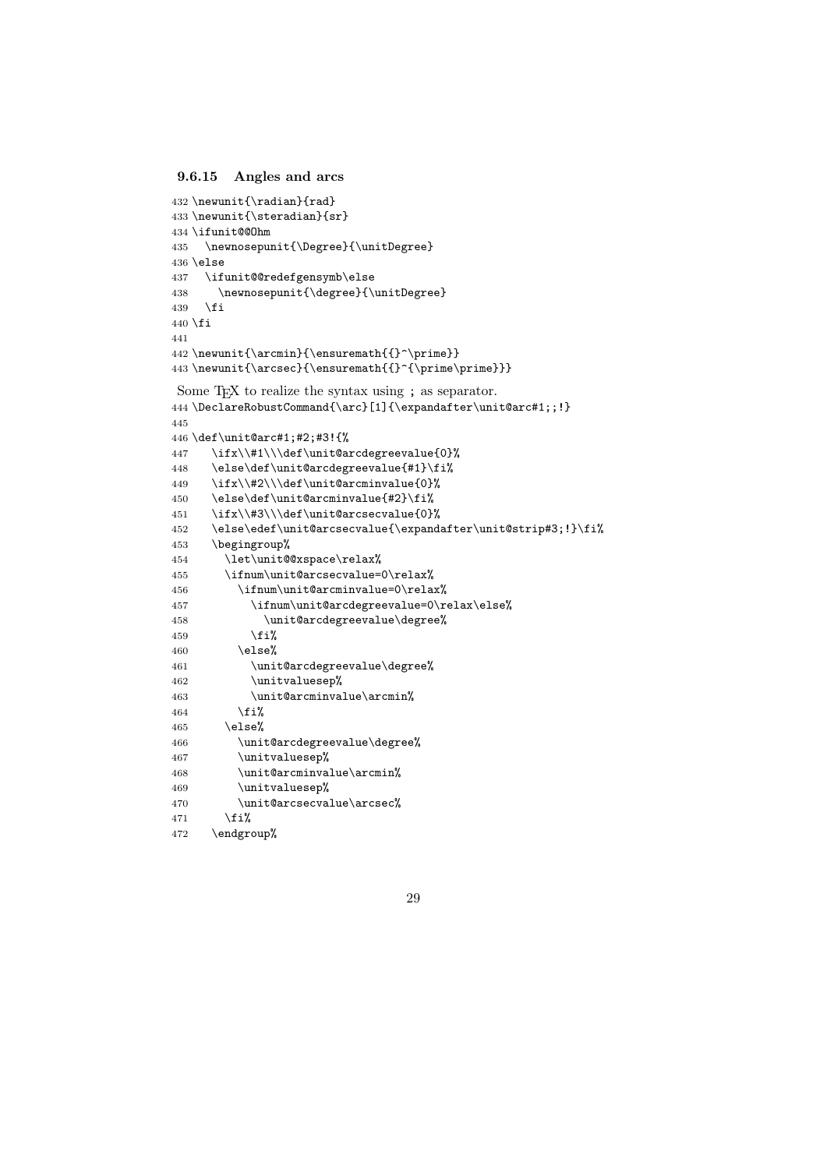#### 9.6.15 Angles and arcs

\endgroup%

```
432 \newunit{\radian}{rad}
433 \newunit{\steradian}{sr}
434 \ifunit@@Ohm
435 \newnosepunit{\Degree}{\unitDegree}
436 \else
437 \ifunit@@redefgensymb\else
438 \newnosepunit{\degree}{\unitDegree}
439 \fi
440 \overline{f}i
441
442 \newunit{\arcmin}{\ensuremath{{}^\prime}}
443 \newunit{\arcsec}{\ensuremath{{}^{\prime\prime}}}
Some T<sub>EX</sub> to realize the syntax using ; as separator.
444 \DeclareRobustCommand{\arc}[1]{\expandafter\unit@arc#1;;!}
445
446 \def\unit@arc#1;#2;#3!{%
447 \ifx\\#1\\\def\unit@arcdegreevalue{0}%
448 \else\def\unit@arcdegreevalue{#1}\fi%
449 \ifx\\#2\\\def\unit@arcminvalue{0}%
450 \else\def\unit@arcminvalue{#2}\fi%
451 \ifx\\#3\\\def\unit@arcsecvalue{0}%
452 \else\edef\unit@arcsecvalue{\expandafter\unit@strip#3;!}\fi%
453 \begingroup%
454 \let\unit@@xspace\relax%
455 \ifnum\unit@arcsecvalue=0\relax%
456 \ifnum\unit@arcminvalue=0\relax%
457 \ifnum\unit@arcdegreevalue=0\relax\else%
458 \unit@arcdegreevalue\degree%
459 \overrightarrow{1\%}460 \else%
461 \unit@arcdegreevalue\degree%
462 \unitvaluesep%
463 \unit@arcminvalue\arcmin%
464 \overline{\phantom{a}} \465 \else%
466 \unit@arcdegreevalue\degree%
467 \unitvaluesep%
468 \unit@arcminvalue\arcmin%
469 \unitvaluesep%
470 \unit@arcsecvalue\arcsec%
471 \{f_i\}
```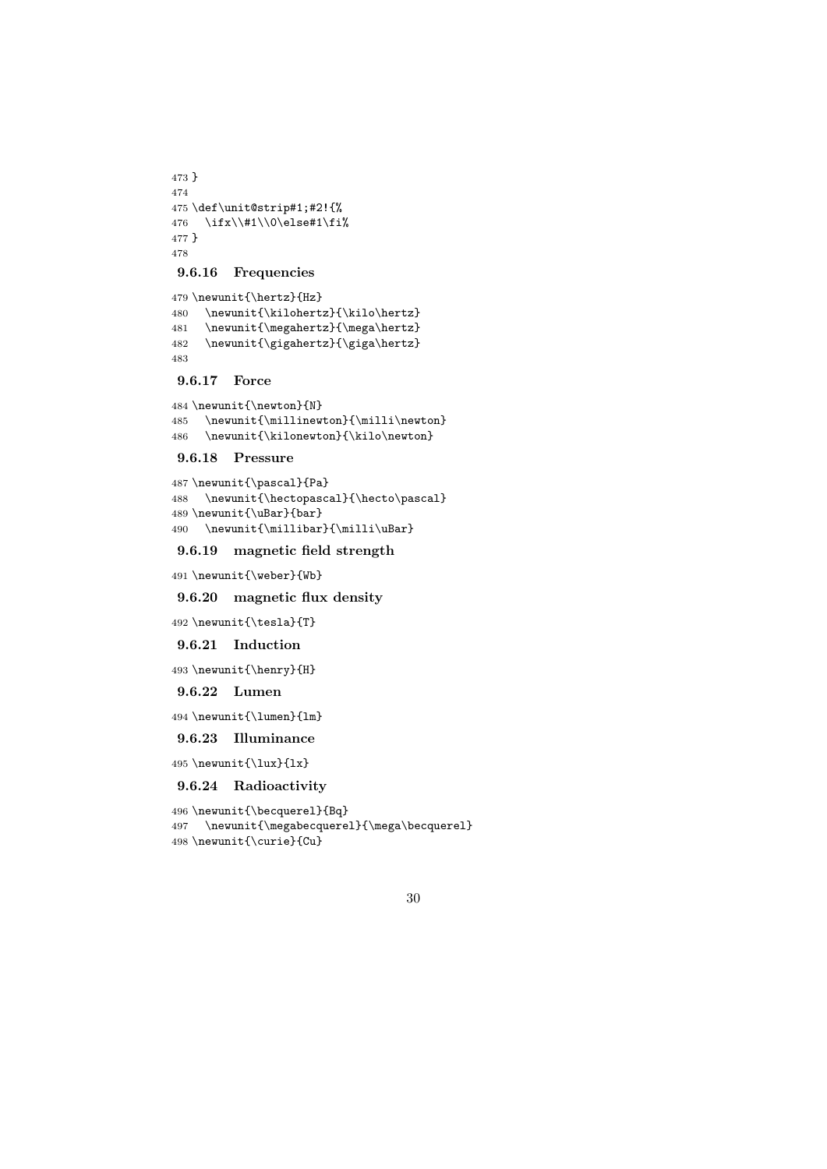```
473 }
474
475 \def\unit@strip#1;#2!{%
476 \ifx\\#1\\0\else#1\fi%
477 }
478
```
#### 9.6.16 Frequencies

 \newunit{\hertz}{Hz} \newunit{\kilohertz}{\kilo\hertz} 481 \newunit{\megahertz}{\mega\hertz}<br>482 \newunit{\gigahertz}{\giga\hertz} \newunit{\gigahertz}{\giga\hertz} 

#### 9.6.17 Force

```
484 \newunit{\newton}{N}
485 \newunit{\millinewton}{\milli\newton}
486 \newunit{\kilonewton}{\kilo\newton}
```
#### 9.6.18 Pressure

```
487 \newunit{\pascal}{Pa}
488 \newunit{\hectopascal}{\hecto\pascal}
489 \newunit{\uBar}{bar}
490 \newunit{\millibar}{\milli\uBar}
```
### 9.6.19 magnetic field strength

\newunit{\weber}{Wb}

### 9.6.20 magnetic flux density

\newunit{\tesla}{T}

9.6.21 Induction

\newunit{\henry}{H}

9.6.22 Lumen

\newunit{\lumen}{lm}

### 9.6.23 Illuminance

\newunit{\lux}{lx}

### 9.6.24 Radioactivity

```
496 \newunit{\becquerel}{Bq}
497 \newunit{\megabecquerel}{\mega\becquerel}
498 \newunit{\curie}{Cu}
```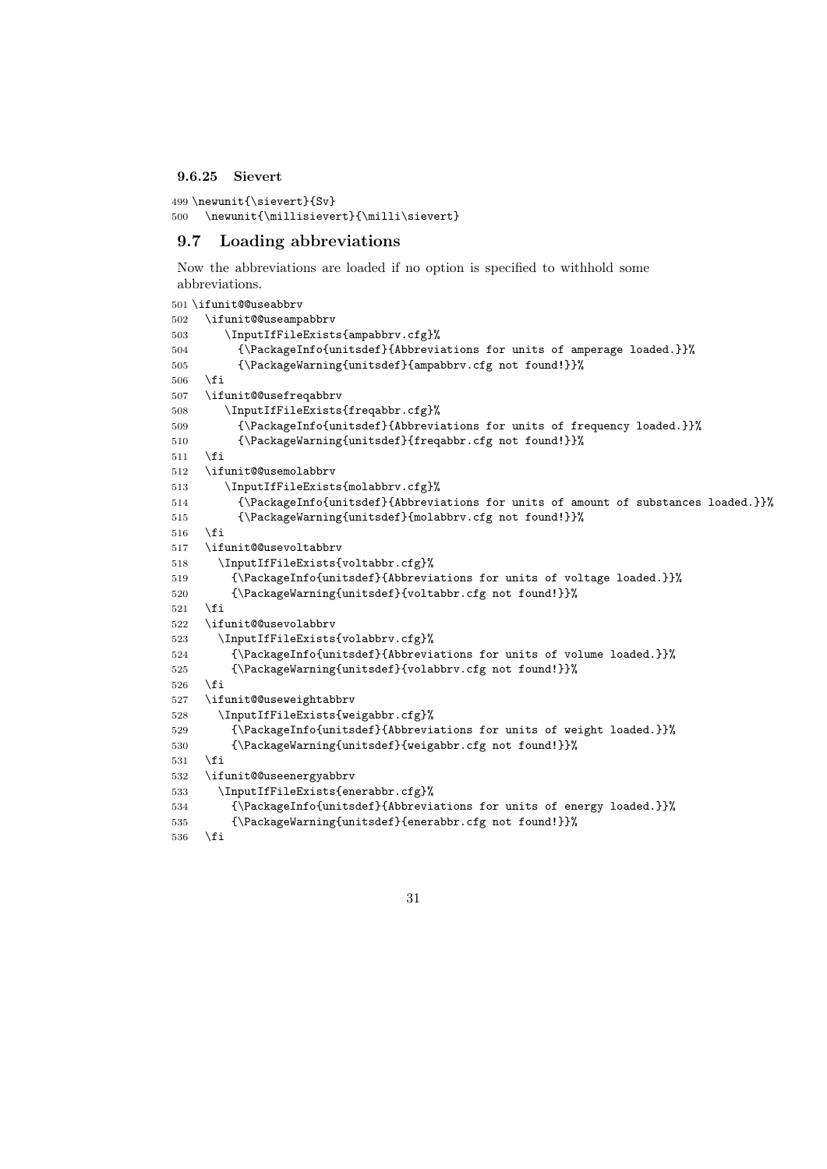#### 9.6.25 Sievert

```
499 \newunit{\sievert}{Sv}
500 \newunit{\millisievert}{\milli\sievert}
```
### 9.7 Loading abbreviations

Now the abbreviations are loaded if no option is specified to withhold some abbreviations.

```
501 \ifunit@@useabbrv
502 \ifunit@@useampabbrv
503 \InputIfFileExists{ampabbrv.cfg}%
504 {\PackageInfo{unitsdef}{Abbreviations for units of amperage loaded.}}%
505 {\PackageWarning{unitsdef}{ampabbrv.cfg not found!}}%
506 \fi
507 \ifunit@@usefreqabbrv
508 \InputIfFileExists{freqabbr.cfg}%
509 {\PackageInfo{unitsdef}{Abbreviations for units of frequency loaded.}}%
510 {\PackageWarning{unitsdef}{freqabbr.cfg not found!}}%
511 \fi
512 \ifunit@@usemolabbrv
513 \InputIfFileExists{molabbrv.cfg}%
514 {\PackageInfo{unitsdef}{Abbreviations for units of amount of substances loaded.}}%
515 {\PackageWarning{unitsdef}{molabbrv.cfg not found!}}%
516 \fi
517 \ifunit@@usevoltabbrv
518 \InputIfFileExists{voltabbr.cfg}%
519 {\PackageInfo{unitsdef}{Abbreviations for units of voltage loaded.}}%
520 {\PackageWarning{unitsdef}{voltabbr.cfg not found!}}%
521 \overline{521}522 \ifunit@@usevolabbrv
523 \InputIfFileExists{volabbrv.cfg}%
524 {\PackageInfo{unitsdef}{Abbreviations for units of volume loaded.}}%
525 {\PackageWarning{unitsdef}{volabbrv.cfg not found!}}%
526 \fi
527 \ifunit@@useweightabbrv
528 \InputIfFileExists{weigabbr.cfg}%
529 {\PackageInfo{unitsdef}{Abbreviations for units of weight loaded.}}%
530 {\PackageWarning{unitsdef}{weigabbr.cfg not found!}}%
531 \fi
532 \ifunit@@useenergyabbrv
533 \InputIfFileExists{enerabbr.cfg}%
534 {\PackageInfo{unitsdef}{Abbreviations for units of energy loaded.}}%
535 {\PackageWarning{unitsdef}{enerabbr.cfg not found!}}%
536 \fi
```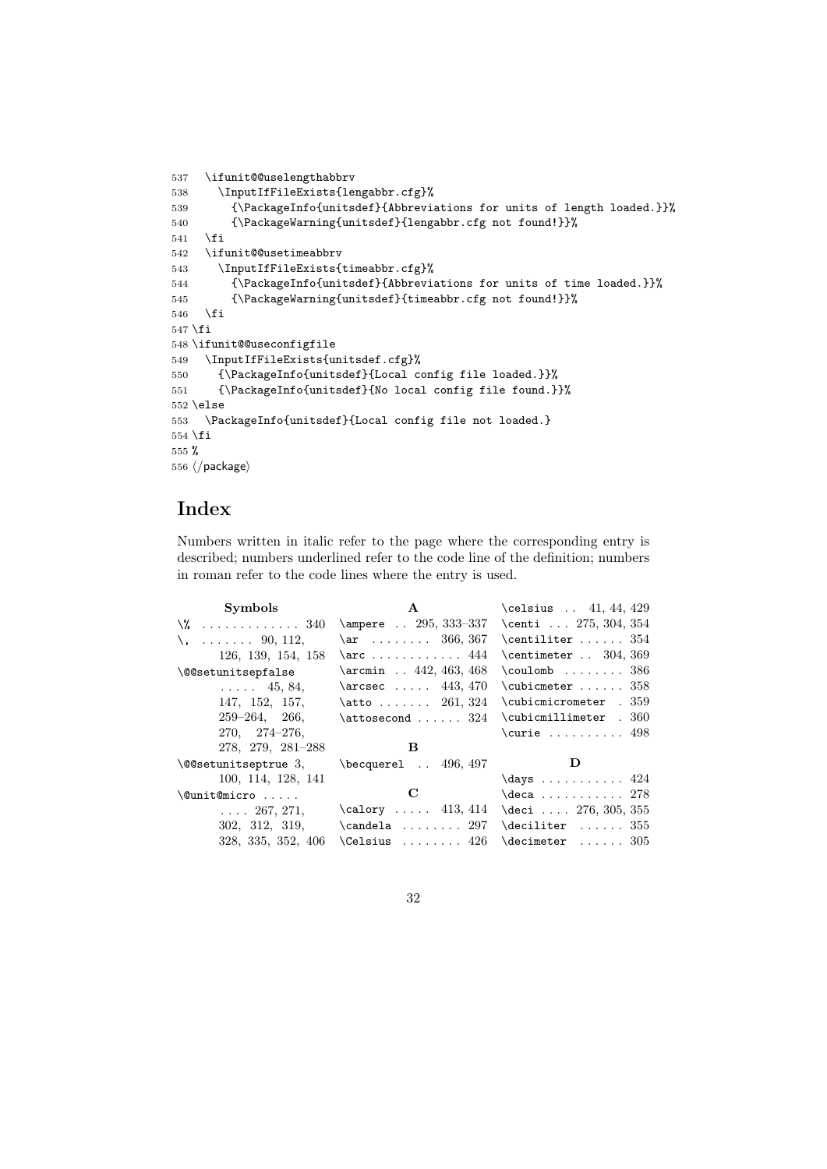```
537 \ifunit@@uselengthabbrv
538 \InputIfFileExists{lengabbr.cfg}%
539 {\PackageInfo{unitsdef}{Abbreviations for units of length loaded.}}%
540 {\PackageWarning{unitsdef}{lengabbr.cfg not found!}}%
541 \fi
542 \ifunit@@usetimeabbrv
543 \InputIfFileExists{timeabbr.cfg}%
544 {\PackageInfo{unitsdef}{Abbreviations for units of time loaded.}}%
545 {\PackageWarning{unitsdef}{timeabbr.cfg not found!}}%
546 \overline{t}547 \fi
548 \ifunit@@useconfigfile
549 \InputIfFileExists{unitsdef.cfg}%
550 {\PackageInfo{unitsdef}{Local config file loaded.}}%
551 {\PackageInfo{unitsdef}{No local config file found.}}%
552 \else
553 \PackageInfo{unitsdef}{Local config file not loaded.}
554 \fi
555 %
556 \langle/package\rangle
```
## Index

Numbers written in italic refer to the page where the corresponding entry is described; numbers underlined refer to the code line of the definition; numbers in roman refer to the code lines where the entry is used.

| <b>Symbols</b>                      | $\mathbf{A}$                                   | \celsius $. 41, 44, 429$            |
|-------------------------------------|------------------------------------------------|-------------------------------------|
| $\sqrt{2}$ 340                      | \ampere  295, 333-337 \centi  275, 304, 354    |                                     |
| $\lambda, \ldots, \ldots, 90, 112,$ | $\ar$ 366, 367                                 | $\centerdot$ 354                    |
| 126, 139, 154, 158                  | $\arcc$ 444                                    | \centimeter $\ldots$ 304, 369       |
| <i><b>\@@setunitsepfalse</b></i>    | \arcmin . 442, 463, 468                        | $\countomb$ 386                     |
| $\ldots$ 45, 84,                    | $\arcsec$ 443, 470                             | \cubicmeter  358                    |
| 147, 152, 157,                      | $\text{ratio} \dots \dots \quad 261, 324$      | \cubicmicrometer . 359              |
| $259 - 264$ , 266,                  | $\texttt{setos } \ldots 324$                   | \cubicmillimeter . 360              |
| $270, 274 - 276.$                   |                                                | $\text{curve}$ 498                  |
| 278, 279, 281-288                   | B.                                             |                                     |
| \@@setunitseptrue 3,                | $\begin{bmatrix} 1 & 496 \\ 497 \end{bmatrix}$ | D                                   |
| 100, 114, 128, 141                  |                                                | $\text{days} \dots \dots \dots 424$ |
| \@unit@micro                        | C                                              | $\text{deca}$ 278                   |
| $\ldots$ 267, 271,                  | \calory $413, 414$ \deci $276, 305, 355$       |                                     |
| 302, 312, 319,                      | $\candela$ 297 $\deciliter$ 355                |                                     |
| 328, 335, 352, 406                  |                                                | \Celsius $426$ \decimeter $305$     |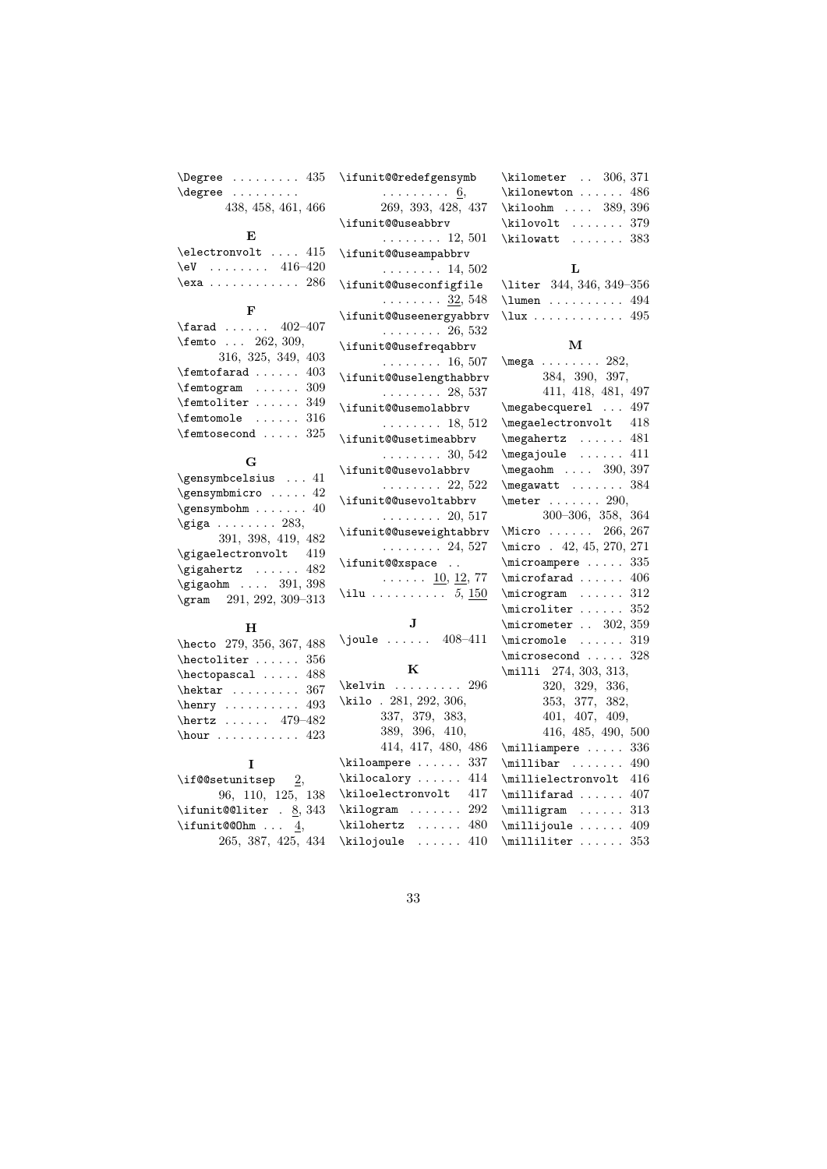$\begin{cases} 435 \end{cases}$ \degree ......... 438, 458, 461, 466

### E

|  | \electronvolt  415 |  |
|--|--------------------|--|
|  | $\eeV$ 416-420     |  |
|  | $\text{lexa}$ 286  |  |

### F

| $\frac{1}{2-407}$                  |  |
|------------------------------------|--|
| \femto $262, 309$ ,                |  |
| 316, 325, 349, 403                 |  |
| $\Lambda \ldots$ 403               |  |
| $\text{femtogram} \dots \dots 309$ |  |
| \femtoliter  349                   |  |
| $\t{femtonole}$ 316                |  |
| $\Lambda$ 325                      |  |

## G

| \gensymbcelsius  41             |
|---------------------------------|
| $\qquad$                        |
| $\gensub{subohm \ldots 40}$     |
| $\qquad \ldots \ldots 283,$     |
| 391, 398, 419, 482              |
| $\qquad$                        |
| $\qquad \ldots 482$             |
| $\qquad \ldots \qquad 391, 398$ |
| \gram 291, 292, 309-313         |

## $\mathbf H$

| hecto 279, 356, 367, 488                          |  |  |  |  |
|---------------------------------------------------|--|--|--|--|
| $\hbox{\tt~hectoliter}$ 356                       |  |  |  |  |
| $\hbox{\tt\textbf{o}}$ 488                        |  |  |  |  |
| $\hbox{\tt\texttt{hektar}} \dots \dots \dots 367$ |  |  |  |  |
| $\hbox{\texttt{herry}} \ldots$                    |  |  |  |  |
| \hertz  479-482                                   |  |  |  |  |
| $\hbox{\texttt{hour}} \ldots$                     |  |  |  |  |

## I

| \if@@setunitsep 2,     |                    |  |  |
|------------------------|--------------------|--|--|
|                        | 96, 110, 125, 138  |  |  |
| \ifunit@@liter . 8,343 |                    |  |  |
| $\int$ ifunit@@0hm  4. |                    |  |  |
|                        | 265, 387, 425, 434 |  |  |

| \ifunit@@redefgensymb                              |
|----------------------------------------------------|
|                                                    |
| $\frac{6}{269}$ , 393, 428, 437                    |
| $\verb \ifunit@Quseabbrv $                         |
| $\ldots \ldots 12, 501$                            |
| \ifunit@@useampabbrv                               |
| $\ldots \ldots \ldots 14, 502$                     |
| \ifunit@@useconfigfile                             |
| $\ldots \ldots \frac{32}{32}, 548$                 |
| \ifunit@@useenergyabbrv                            |
| $\ldots \ldots 26, 532$                            |
| \ifunit@@usefreqabbrv                              |
| $\ldots \ldots 16, 507$                            |
| \ifunit@@uselengthabbrv                            |
| $\ldots \ldots 28, 537$                            |
| \ifunit@@usemolabbrv                               |
| $\ldots \ldots 18, 512$                            |
| \ifunit@@usetimeabbrv                              |
| $\ldots \ldots 30, 542$                            |
| \ifunit@@usevolabbrv                               |
|                                                    |
| $\ldots \ldots 22, 522$<br>\ifunit@@usevoltabbrv   |
|                                                    |
| $\ldots \ldots 20, 517$<br>\ifunit@@useweightabbrv |
| $\cdots \cdots \cdots 24, 527$                     |
|                                                    |
| \ifunit@@xspace                                    |
| $\cdots$ $\frac{10}{12}$ , $\frac{12}{77}$         |
| \ilu $5, 150$                                      |
| $\mathbf{J}$                                       |
| $\iota$ ioule  408-411                             |
|                                                    |
| $\bf K$                                            |
| $\kelt in$ .<br>$\ldots$ 296                       |
| $\cdots$<br>\kilo . 281, 292, 306,                 |
| $337, \ \ 379, \ \ 383,$                           |
|                                                    |
| 389, 396, 410,<br>414, 417, 480, 486               |
| $\kiloampere   337$                                |
| $\kilocalory \ldots 414$                           |
| \kiloelectronvolt 417                              |
| 292<br>$\tilde{\mathcal{L}}$                       |
|                                                    |

| \kilometer              |  | $\ldots$ 306, 371 |  |
|-------------------------|--|-------------------|--|
| $\kappa$ ilonewton  486 |  |                   |  |
| \kiloohm  389, 396      |  |                   |  |
| \kilovolt               |  | . 379             |  |
| \kilowatt               |  | . 383             |  |

### L

| \liter 344, 346, 349-356                                  |  |
|-----------------------------------------------------------|--|
| $\lceil$ lumen  494                                       |  |
| $\{\lvert \lvert 495 \rvert, \ldots, \lvert 495 \rvert\}$ |  |

## M

| $\omega$ 282,                         |     |
|---------------------------------------|-----|
| 384, 390, 397,                        |     |
| 411, 418, 481, 497                    |     |
| $\omega$ /megabecquerel  497          |     |
| \megaelectronvolt 418                 |     |
| \megahertz  481                       |     |
| $\omega$ 411                          |     |
| \megaohm  390, 397                    |     |
| $\omega$ t  384                       |     |
| $\text{eter } \ldots 290,$            |     |
| 300-306, 358, 364                     |     |
| Micro  266, 267                       |     |
| \micro . 42, 45, 270, 271             |     |
| \microampere  335                     |     |
| $\text{imicrofarad} \ldots$ 406       |     |
| $\microgram$ 312                      |     |
| $\text{C}$ 352                        |     |
| \micrometer  302, 359                 |     |
| $\text{micromole} \dots \dots 319$    |     |
| $\text{microsecond} \dots$ 328        |     |
| \milli 274, 303, 313,                 |     |
| 320, 329, 336,                        |     |
| 353, 377, 382,                        |     |
| 401, 407, 409,                        |     |
| 416, 485, 490, 500                    |     |
| $\mbox{milliampere} \ldots 336$       |     |
| $\mbox{millibar } \ldots$ 490         |     |
| \millielectronvolt 416                |     |
| $\text{unillifarad} \ldots$ 407       |     |
| $\m{initialgram \ldots 313}$          |     |
| $\text{Millijoule} \dots \dots \ 409$ |     |
| $\mbox{lilitter} \ldots$              | 353 |

## 33

\kilohertz ...... 480  $\kilojoule$  ...... 410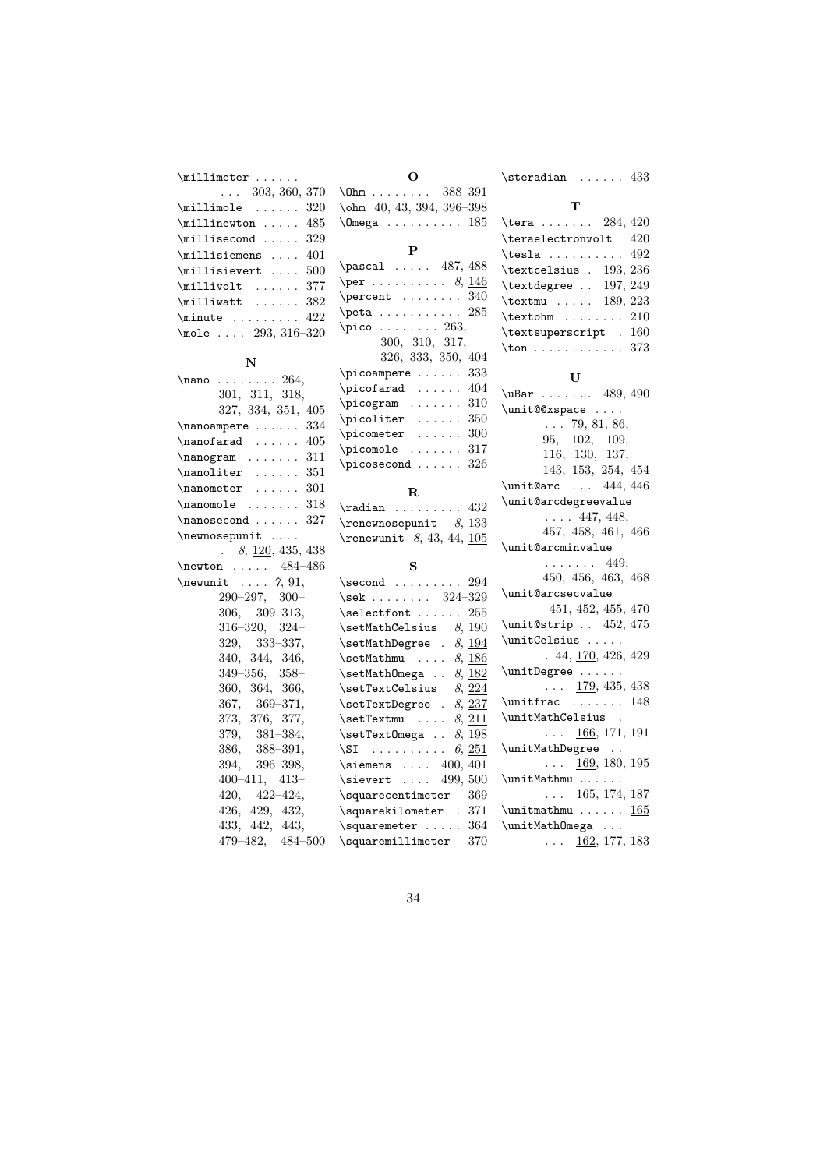$\in$ limeter ......  $\ldots$  303, 360, 370  $\mathrm{limole}$  ..... 320 \  $\mathrm{multin}_{\mathrm{on}} \ldots$  485  $\in$ 111isecond ..... 329 \millisiemens . . . . 401 \millisievert . . . . 500  $\label{eq:multi} \begin{minipage}{0.03\textwidth} \centering \begin{minipage}{0.03\textwidth} \centering \centering \end{minipage} \begin{minipage}{0.03\textwidth} \centering \centering \end{minipage} \begin{minipage}{0.03\textwidth} \centering \centering \end{minipage} \begin{minipage}{0.03\textwidth} \centering \centering \end{minipage} \begin{minipage}{0.03\textwidth} \centering \centering \end{minipage} \begin{minipage}{0.03\textwidth} \centering \centering \end{minipage} \begin{minipage}{0.03\textwidth} \centering \centering \end{minipage$  $\text{milli}$  ...... 382 \minute . . . . . . . . 422 \mole . . . . 293, 316–320

#### N

| $\lambda$ 264,                |
|-------------------------------|
| 301, 311, 318,                |
| 327, 334, 351, 405            |
| $\langle$ nanoampere  334     |
| $\n\$ {anofarad   405         |
| $\n\cdot 311$                 |
| $\mathcal{L}$ 351             |
| $\langle$ nanometer  301      |
| $\verb \nanomole   \dots 318$ |
| $\langle$ 327                 |
| \newnosepunit                 |
| 8, 120, 435, 438              |
| $\text{newton} \dots 484-486$ |
| \newunit  7, $91$ ,           |
| $290 - 297, 300 -$            |
| $306, 309 - 313,$             |
| $316 - 320, 324 -$            |
| 329, 333-337,                 |
| 340, 344, 346,                |
| $349 - 356$ , $358 -$         |
| 360, 364, 366,                |
| 367, 369-371,                 |
| 373, 376, 377,                |
| $379, 381 - 384,$             |
| $386, 388 - 391,$             |
| $394, 396 - 398,$             |
| $400 - 411, 413 -$            |
| 420, 422-424,                 |
| 426, 429, 432,                |
| 433, 442, 443,                |
| 479-482, 484-500              |

| $\Omega$                                                   |        |  |  |  |  |
|------------------------------------------------------------|--------|--|--|--|--|
|                                                            |        |  |  |  |  |
| $\label{eq:0} $$\Omega \in 388-391\n40, 43, 394, 396-398$  |        |  |  |  |  |
| \Omega  185                                                |        |  |  |  |  |
|                                                            |        |  |  |  |  |
| $\mathbf{P}$                                               |        |  |  |  |  |
| $\text{pascal}$ 487, 488                                   |        |  |  |  |  |
| $\perp$ 8, 146                                             |        |  |  |  |  |
| $\perp$ :  340                                             |        |  |  |  |  |
| $\beta \ldots \ldots \ldots 285$                           |        |  |  |  |  |
| $\pi$ co  263,                                             |        |  |  |  |  |
| $300, \;\; 310, \;\; 317,$                                 |        |  |  |  |  |
| 326, 333, 350, 404                                         |        |  |  |  |  |
| \picoampere  333                                           |        |  |  |  |  |
| $\pi \cdot 404$                                            |        |  |  |  |  |
| \picogram                                                  | 310    |  |  |  |  |
| $\text{picoliter} \dots \dots$                             | 350    |  |  |  |  |
| $\pi$ cometer                                              | 300    |  |  |  |  |
| $\pi$ comole                                               | 317    |  |  |  |  |
| \picosecond                                                | 326    |  |  |  |  |
|                                                            |        |  |  |  |  |
| $\mathbf R$                                                |        |  |  |  |  |
| $\tau$ adian  432                                          |        |  |  |  |  |
| $\$ {renewnosepunit } 8, 133                               |        |  |  |  |  |
| $\$ {renewunit} 8, 43, 44, \underline{105}                 |        |  |  |  |  |
| S                                                          |        |  |  |  |  |
| $\setminus$ second  294                                    |        |  |  |  |  |
| \sek 324-329                                               |        |  |  |  |  |
| $\setminus$ selectfont  255                                |        |  |  |  |  |
| $\setminus$ setMathCelsius $8, 190$                        |        |  |  |  |  |
| $\setminus$ setMathDegree . $8, 194$                       |        |  |  |  |  |
| $\setminus$ setMathmu $8, 186$                             |        |  |  |  |  |
| $\setminus \texttt{SetMathOmega} \dots 8, \underline{182}$ |        |  |  |  |  |
| $\setminus$ setTextCelsius $8, \overline{224}$             |        |  |  |  |  |
| \setTextDegree .                                           | 8, 237 |  |  |  |  |

T \tera . . . . . . . 284, 420 \teraelectronvolt 420 \tesla . . . . . . . . . 492 \textcelsius . 193, 236 \textdegree . . 197, 249 \textmu . . . . . 189, 223 \textohm . . . . . . . . 210 \textsuperscript . 160 \ton . . . . . . . . . . . . 373 U \uBar . . . . . . . 489, 490 \unit@@xspace ....  $\ldots$  79, 81, 86, 95, 102, 109, 116, 130, 137, 143, 153, 254, 454 \unit@arc ... 444, 446 \unit@arcdegreevalue  $\ldots$  447, 448, 457, 458, 461, 466 \unit@arcminvalue . . . . . . . 449, 450, 456, 463, 468 \unit@arcsecvalue 451, 452, 455, 470 \unit@strip . . 452, 475 \unitCelsius . . . . . . 44, 170, 426, 429 \unitDegree . . . . . .  $\ldots$  179, 435, 438 \unitfrac . . . . . . . 148 \unitMathCelsius .  $\ldots$  166, 171, 191 \unitMathDegree . .  $\ldots$  169, 180, 195 \unitMathmu . . . . . .  $\ldots$  165, 174, 187 \unitmathmu . . . . . . 165 \unitMathOmega . . .  $\ldots$  162, 177, 183

 $\setminus$ steradian . . . . . . 433

34

\setTextmu ....  $8, 211$ \setTextOmega  $\ldots$  8, 198  $\setminus$ SI . . . . . . . . . . 6, 251 \siemens .... 400, 401 \sievert .... 499, 500  $\verb|\square| \verb|\sequencentimeter 369$ \squarekilometer . 371 \squaremeter ..... 364 \squaremillimeter 370